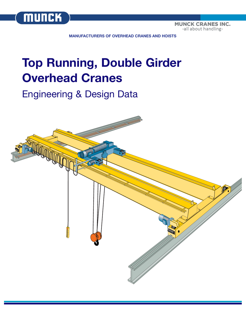

**MUNCK CRANES INC.** -all about handling-

**MANUFACTURERS OF OVERHEAD CRANES AND HOISTS**

# **Top Running, Double Girder Overhead Cranes**

## Engineering & Design Data

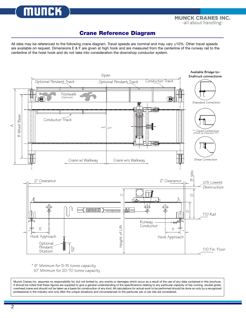**MUNCK** 

**TOTAL CRANE SYSTEMS** -all about handling-

### **Crane Reference Diagram**

All data may be referenced to the following crane diagram. Travel speeds are nominal and may vary ±10%. Other travel speeds are available on request. Dimensions E & F are given at high hook and are measured from the centerline of the runway rail to the centerline of the hoist hook and do not take into consideration the downshop conductor system.



\* 8" Minimum for 5-15 tonne capacity

10" Minimum for 20-70 tonne capacity

Munck Cranes Inc. assumes no responsibility for, but not limited to, any events or damages which occur as a result of the use of any data contained in this brochure. It should be noted that these figures are supplied to give a general understanding of the specifications relating to any particular capacity of top running, double girder, overhead crane and should not be taken as a basis for construction of any kind. All calculations for actual work to be performed should be done so only by a recognized professional in the industry and only after the unique situations and circumstances to the particular job or job site are considered.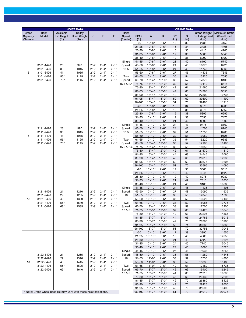| <b>HOIST DATA</b>                                                  |                                                  |                                   |                                                 |                                                          |                                                     |                                               |                                                   | <b>CRANE DATA</b>      |                          |                          |                   |            |                                                         |                                                      |
|--------------------------------------------------------------------|--------------------------------------------------|-----------------------------------|-------------------------------------------------|----------------------------------------------------------|-----------------------------------------------------|-----------------------------------------------|---------------------------------------------------|------------------------|--------------------------|--------------------------|-------------------|------------|---------------------------------------------------------|------------------------------------------------------|
| Crane<br>Capacity<br>(Tonnes)                                      | <b>Hoist</b><br>Model                            | Available<br>Lift Height<br>(ft.) | <b>Trolley</b><br><b>Hoist Weight</b><br>(lbs.) | C                                                        | E                                                   | F                                             | Hoist<br>Speed<br>(ft./min.)                      | <b>SPAN</b><br>(ft.)   | $\mathsf{A}$             | B                        | $D^{**}$<br>(in.) | G<br>(in.) | <b>Crane Weight</b><br><b>Excluding Hoist</b><br>(lbs.) | <b>Maximum Static</b><br><b>Wheel Load</b><br>(lbs.) |
|                                                                    |                                                  |                                   |                                                 |                                                          |                                                     |                                               |                                                   | $-20$                  | $10'-8"$                 | $9' - 6"$                | 13                | 32         | 2735                                                    | 4150                                                 |
|                                                                    |                                                  |                                   |                                                 |                                                          |                                                     |                                               |                                                   | $21 - 25$              | $10'-8"$                 | $9' - 6"$                | 15                | 34         | 3435                                                    | 4405                                                 |
|                                                                    |                                                  |                                   |                                                 |                                                          |                                                     |                                               |                                                   | $26 - 30$              | $10'-8"$                 | $9' - 6"$                | 16                | 35         | 4415                                                    | 4705                                                 |
|                                                                    |                                                  |                                   |                                                 |                                                          |                                                     |                                               |                                                   | $31 - 35$              | $10'-8"$                 | $9' - 6"$                | 19                | 38         | 5600                                                    | 5040                                                 |
|                                                                    |                                                  |                                   |                                                 |                                                          |                                                     |                                               |                                                   | 36-40                  | $10'-8"$                 | $9' - 6"$                | 19                | 38         | 6990                                                    | 5420                                                 |
|                                                                    | 3101-1426<br>3101-2426                           |                                   |                                                 |                                                          |                                                     |                                               | Single                                            | $41 - 45$              | $10'-8''$                | $9' - 6"$                | 21                | 40         | 8190                                                    | 5740                                                 |
|                                                                    |                                                  | 23<br>33                          | 990<br>1015<br>1035<br>1125                     | $2'-2"$<br>$2'-2"$<br>$2'-2"$                            | $2'-4"$<br>$2'-4"$                                  | $2'-1$ "<br>$2'-1$ "                          | Speed:<br>15.5                                    | 46-50<br>$51 - 55$     | $10'-8"$<br>$10'-8"$     | $9'-6''$<br>$9' - 6"$    | 24<br>24          | 43<br>43   | 10075<br>11745                                          | 6225<br>6660                                         |
| 3                                                                  | 3101-3426                                        | 41                                |                                                 |                                                          | $2'-4"$                                             | $2'-1$ "                                      |                                                   | 56-60                  | $10'-8"$                 | $9' - 6"$                | 27                | 46         | 14435                                                   | 7345                                                 |
|                                                                    | 3101-4426                                        | 56 *                              |                                                 | $2'-2"$                                                  | $2'-4"$                                             | $2' - 1''$                                    | Two                                               | $61 - 65$              | $10'-10"$                | $9' - 6"$                | 35                | 54         | 15220                                                   | 7555                                                 |
|                                                                    | 3101-5426                                        | $70*$                             | 1145                                            | $2'-2"$                                                  | $2'-4"$                                             | $2' - 1"$                                     | Speed:                                            | 66-70                  | $13'-4"$                 | $12 - 0$ "               | 38                | 57         | 17370                                                   | 8100                                                 |
|                                                                    |                                                  |                                   |                                                 |                                                          |                                                     |                                               | 15.5 & 2.4                                        | $71 - 75$              | $13'-4"$                 | $12 - 0$ "               | 39                | 58         | 19410                                                   | 8615                                                 |
|                                                                    |                                                  |                                   |                                                 |                                                          |                                                     |                                               |                                                   | 76-80                  | $13'-4"$                 | $12 - 0$ "               | 42                | 61         | 21560                                                   | 9165                                                 |
|                                                                    |                                                  |                                   |                                                 |                                                          |                                                     |                                               |                                                   | $81 - 85$              | $16'-4"$                 | $15'-0$ "                | 44                | 63         | 24295                                                   | 9850                                                 |
|                                                                    |                                                  |                                   |                                                 |                                                          |                                                     |                                               |                                                   | 86-90                  | $16' - 4"$               | $15 - 0$ "               | 49                | 68         | 27800                                                   | 10735                                                |
|                                                                    |                                                  |                                   |                                                 |                                                          |                                                     |                                               |                                                   | 91-95<br>96-100        | $16'-4"$<br>$16' - 4"$   | $15'-0$ "<br>$15 - 0$    | 50<br>51          | 69<br>70   | 30800<br>32485                                          | 11490<br>11915                                       |
|                                                                    |                                                  |                                   |                                                 |                                                          |                                                     |                                               |                                                   | $-20$                  | $10'-8"$                 | $9' - 6"$                | 15                | 34         | 3075                                                    | 6205                                                 |
|                                                                    |                                                  |                                   |                                                 |                                                          |                                                     |                                               |                                                   | $21 - 25$              | $10'-8"$                 | $9' - 6"$                | 16                | 35         | 3975                                                    | 6560                                                 |
|                                                                    |                                                  |                                   |                                                 |                                                          | $2'-4"$<br>$2'-4"$<br>$2'-4"$                       |                                               |                                                   | $26 - 30$              | $10'-8"$                 | $9' - 6"$                | 19                | 38         | 5395                                                    | 6995                                                 |
|                                                                    |                                                  |                                   |                                                 |                                                          |                                                     |                                               |                                                   | $31 - 35$              | $10'-10"$                | $9' - 6"$                | 19                | 38         | 7055                                                    | 7475                                                 |
|                                                                    |                                                  |                                   |                                                 | $2'-2"$<br>$2 - 2"$<br>$2'-2"$<br>$2'-2"$<br>$2'-2"$     |                                                     |                                               |                                                   | 36-40                  | $10'-10"$                | $9' - 6"$                | 21                | 40         | 8600                                                    | 7900                                                 |
|                                                                    |                                                  |                                   |                                                 |                                                          |                                                     |                                               | Single                                            | $41 - 45$              | $10'-10"$                | $9' - 6"$                | 24                | 43         | 9475                                                    | 8160                                                 |
|                                                                    | 3111-1426<br>3111-2426                           | 23<br>33                          | 990                                             |                                                          |                                                     | $2' - 1"$<br>$2'-1$ "                         | Speed:<br>15.5                                    | 46-50<br>$51 - 55$     | $10'-10"$<br>$10'-10"$   | $9' - 6"$<br>$9' - 6"$   | 24<br>32          | 43<br>51   | 11705<br>11750                                          | 8745<br>8780                                         |
| 5                                                                  | 3111-3426                                        | 41                                | 1015<br>1035                                    |                                                          |                                                     | $2'-1$ "                                      |                                                   | 56-60                  | $10'-10"$                | $9' - 6"$                | 32                | 51         | 13050                                                   | 9125                                                 |
|                                                                    | 3111-4426                                        | 56 *                              | 1125                                            |                                                          | $2'-4"$                                             | $2'-1"$                                       | Two                                               | $61 - 65$              | $10'-10"$                | $9' - 6"$                | 35                | 54         | 15220                                                   | 9685                                                 |
|                                                                    | 3111-5426                                        | $70*$                             | 1145                                            |                                                          | $2'-4"$                                             | $2'-1$ "                                      | Speed:                                            | 66-70                  | $13'-4"$                 | $12 - 0$ "               | 38                | 57         | 17195                                                   | 10190                                                |
|                                                                    |                                                  |                                   |                                                 |                                                          |                                                     |                                               | 15.5 & 2.4                                        | $71 - 75$              | $13'-4"$                 | $12 - 0$ "               | 39                | 58         | 18950                                                   | 10640                                                |
|                                                                    |                                                  |                                   |                                                 |                                                          |                                                     |                                               |                                                   | 76-80                  | $13'-4"$                 | $12'-0$ "                | 42                | 61         | 21570                                                   | 11310                                                |
|                                                                    |                                                  |                                   |                                                 |                                                          |                                                     |                                               |                                                   | $81 - 85$              | $16'-4"$                 | $15 - 0$ "               | 44                | 63         | 24545                                                   | 12060                                                |
|                                                                    |                                                  |                                   |                                                 |                                                          |                                                     |                                               |                                                   | 86-90                  | $16'-4"$                 | $15'-0$ "                | 49                | 68         | 28010                                                   | 12935                                                |
|                                                                    |                                                  |                                   |                                                 |                                                          |                                                     |                                               |                                                   | 91-95<br>96-100        | $16' - 4"$<br>$16'-4"$   | $15 - 0$ "<br>$15 - 0$ " | 50<br>51          | 69<br>70   | 30875<br>32565                                          | 13605<br>14090                                       |
|                                                                    |                                                  |                                   | 1210<br>1255<br>1390<br>1540<br>1585            |                                                          |                                                     |                                               | Single<br>Speed:<br>16<br>Two<br>Speed:<br>16 & 5 | $-20$                  | $10' - 10"$              | $9' - 6"$                | 17                | 38         | 3660                                                    | 9010                                                 |
|                                                                    |                                                  |                                   |                                                 |                                                          |                                                     |                                               |                                                   | $21 - 25$              | $10'-10"$                | $9' - 6"$                | 19                | 40         | 4945                                                    | 9520                                                 |
|                                                                    |                                                  |                                   |                                                 |                                                          |                                                     |                                               |                                                   | 26-30                  | $10'-10"$                | $9' - 6"$                | 19                | 40         | 6275                                                    | 9980                                                 |
|                                                                    |                                                  |                                   |                                                 |                                                          |                                                     |                                               |                                                   | $31 - 35$              | $10'-10"$                | $9' - 6"$                | 21                | 42         | 7315                                                    | 10330                                                |
|                                                                    | 3121-1426<br>3121-2426<br>3121-3426              | 21<br>29<br>40<br>55 *<br>68 *    |                                                 |                                                          |                                                     |                                               |                                                   | $36 - 40$<br>$41 - 45$ | $10'-10"$                | $9' - 6"$<br>$9' - 6"$   | 24                | 45<br>45   | 9180<br>11135                                           | 10865<br>11405                                       |
|                                                                    |                                                  |                                   |                                                 | $2'-9''$<br>$2 - 9"$<br>$2 - 9"$<br>$2'-9''$<br>$2 - 9"$ | $2'-4"$<br>$2'-4"$<br>$2'-4"$<br>$2'-4"$<br>$2'-4"$ | $2'-1"$                                       |                                                   | 46-50                  | $10'-10"$<br>$10'-10"$   | $9' - 6"$                | 24<br>27          | 48         | 13090                                                   | 11935                                                |
|                                                                    |                                                  |                                   |                                                 |                                                          |                                                     | $2'-1$ "<br>$2' - 1''$<br>$2'-1$ "<br>$2'-1"$ |                                                   | $51 - 55$              | $10'-10"$                | $9' - 6"$                | 35                | 56         | 12340                                                   | 11785                                                |
| 7.5                                                                |                                                  |                                   |                                                 |                                                          |                                                     |                                               |                                                   | 56-60                  | $10'-10"$                | $9' - 6"$                | 35                | 56         | 13625                                                   | 12135                                                |
|                                                                    | 3121-4426                                        |                                   |                                                 |                                                          |                                                     |                                               |                                                   | 61-65                  | $10'-10"$                | $9' - 6"$                | 38                | 59         | 16085                                                   | 12775                                                |
|                                                                    | 3121-5426                                        |                                   |                                                 |                                                          |                                                     |                                               |                                                   | 66-70                  | $13 - 4"$                | $12 - 0$ "               | 38                | 59         | 17700                                                   | 13200                                                |
|                                                                    |                                                  |                                   |                                                 |                                                          |                                                     |                                               |                                                   | $71 - 75$              | $13'-5''$                | $12 - 0$ "               | 39                | 60         | 19425                                                   | 13645                                                |
|                                                                    |                                                  |                                   |                                                 |                                                          |                                                     |                                               |                                                   | 76-80<br>$81 - 85$     | $13' - 7"$<br>$16' - 7"$ | $12 - 0$ "<br>$15 - 0$ " | 42<br>44          | 63<br>65   | 22225<br>24785                                          | 14365<br>15015                                       |
|                                                                    |                                                  |                                   |                                                 |                                                          |                                                     |                                               |                                                   | 86-90                  | $16' - 7"$               | $15 - 0$ "               | 49                | 70         | 28290                                                   | 15905                                                |
|                                                                    |                                                  |                                   |                                                 |                                                          |                                                     |                                               |                                                   | 91-95                  | $16'-7''$                | $15 - 0$ "               | 50                | 71         | 30065                                                   | 16365                                                |
|                                                                    |                                                  |                                   |                                                 |                                                          |                                                     |                                               |                                                   | 96-100                 | $16' - 7"$               | $15 - 0$ "               | 51                | 72         | 32755                                                   | 17045                                                |
|                                                                    |                                                  |                                   |                                                 |                                                          |                                                     |                                               |                                                   | $-20$                  | $10'-10"$                | $9' - 6"$                | 17                | 38         | 3890                                                    | 11555                                                |
|                                                                    |                                                  |                                   |                                                 |                                                          |                                                     |                                               |                                                   | $21 - 25$              | $10'-10"$                | $9' - 6"$                | 19                | 40         | 4885                                                    | 12050                                                |
|                                                                    |                                                  |                                   |                                                 |                                                          |                                                     |                                               |                                                   | $26 - 30$              | $10'-10"$                | $9'-6''$                 | 21                | 42         | 6520                                                    | 12625                                                |
|                                                                    |                                                  |                                   |                                                 |                                                          |                                                     |                                               |                                                   | $31 - 35$<br>$36 - 40$ | $10'-10"$<br>$10'-10"$   | $9' - 6"$<br>$9'-6''$    | 24<br>24          | 45<br>45   | 7740<br>10090                                           | 13045<br>13725                                       |
|                                                                    |                                                  |                                   |                                                 |                                                          |                                                     |                                               | Single                                            | $41 - 45$              | $10'-10"$                | $9' - 6"$                | 27                | 48         | 11935                                                   | 14255                                                |
|                                                                    | 3122-1426                                        | 21                                | 1265                                            | $2 - 9"$                                                 | $2'-4"$                                             | $2' - 1''$                                    | Speed:                                            | 46-50                  | $10'-10"$                | $9' - 6"$                | 35                | 56         | 11280                                                   | 14145                                                |
|                                                                    | 3122-2426<br>3122-3426<br>3122-4426<br>3122-5426 | 29<br>40<br>55 *<br>69*           | 1310                                            | $2 - 9"$                                                 | $2'-4"$<br>$2'-4"$<br>$2'-4"$<br>$2'-4"$            | $2'-1$ "                                      | 16                                                | $51 - 55$              | $11'-0''$                | $9' - 6"$                | 38                | 59         | 13735                                                   | 14805                                                |
| 10                                                                 |                                                  |                                   | 1445                                            | $2 - 9"$                                                 |                                                     | $2' - 1"$                                     |                                                   | 56-60                  | $11'-0''$                | $9' - 6"$                | 38                | 59         | 15035                                                   | 15165                                                |
|                                                                    |                                                  |                                   | 1595<br>1640                                    | $2 - 9"$<br>$2 - 9"$                                     |                                                     | $2'-1$ "                                      | Two                                               | 61-65                  | $11'-0''$                | $9' - 6"$                | 40                | 61         | 17180                                                   | 15735                                                |
|                                                                    |                                                  |                                   |                                                 |                                                          |                                                     | $2'-1"$                                       | Speed:<br>16 & 5                                  | 66-70<br>$71 - 75$     | $13'-7''$<br>$13'-7''$   | $12 - 0$ "<br>$12 - 0$ " | 42<br>44          | 63<br>65   | 19100<br>21215                                          | 16245<br>16795                                       |
|                                                                    |                                                  |                                   |                                                 |                                                          |                                                     |                                               |                                                   | 76-80                  | $13'-7''$                | $12'-0''$                | 45                | 66         | 23130                                                   | 17295                                                |
|                                                                    |                                                  |                                   |                                                 |                                                          |                                                     |                                               |                                                   | 81-85                  | $16' - 7"$               | $15 - 0$ "               | 49                | 70         | 26380                                                   | 18125                                                |
|                                                                    |                                                  |                                   |                                                 |                                                          |                                                     |                                               |                                                   | 86-90                  | $16'-7''$                | $15'-0$ "                | 49                | 70         | 28425                                                   | 18650                                                |
|                                                                    |                                                  |                                   |                                                 |                                                          |                                                     |                                               |                                                   | 91-95                  | $16' - 7"$               | $15 - 0$ "               | 49                | 70         | 31695                                                   | 19490                                                |
| * Note: Crane wheel base (B) may vary with these hoist selections. |                                                  |                                   |                                                 |                                                          |                                                     |                                               |                                                   | 96-100                 | $16'-7''$                | $15 - 0$ "               | 51                | 72         | 34010                                                   | 20075                                                |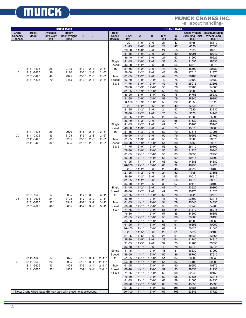# **MUNCK**

### **TOTAL CRANE SYSTEMS**

|                               | <b>HOIST DATA</b>                                                  |                                   |                                                 |                                              |                                 |                                                |                                                   |                        | <b>CRANE DATA</b>        |                         |                              |            |                                                         |                                               |
|-------------------------------|--------------------------------------------------------------------|-----------------------------------|-------------------------------------------------|----------------------------------------------|---------------------------------|------------------------------------------------|---------------------------------------------------|------------------------|--------------------------|-------------------------|------------------------------|------------|---------------------------------------------------------|-----------------------------------------------|
| Crane<br>Capacity<br>(Tonnes) | Hoist<br>Model                                                     | Available<br>Lift Height<br>(ft.) | <b>Trolley</b><br><b>Hoist Weight</b><br>(lbs.) | C                                            | E                               | F                                              | Hoist<br>Speed<br>( <i>ft</i> ./min.)             | <b>SPAN</b><br>(ft.)   | A                        | B                       | $D \bullet \bullet$<br>(in.) | G<br>(in.) | <b>Crane Weight</b><br><b>Excluding Hoist</b><br>(lbs.) | Maximum Static<br><b>Wheel Load</b><br>(lbs.) |
|                               |                                                                    |                                   |                                                 |                                              |                                 |                                                |                                                   | $-20$                  | $11'-0''$                | $9' - 6"$               | 21                           | 47         | 5165                                                    | 16810                                         |
|                               |                                                                    |                                   |                                                 |                                              |                                 |                                                |                                                   | $21 - 25$              | $11'-0''$                | $9' - 6''$              | 21                           | 47         | 6530                                                    | 17590                                         |
|                               |                                                                    |                                   |                                                 |                                              |                                 |                                                |                                                   | 26-30                  | $11'-0''$                | $9' - 6"$               | 24                           | 50         | 7835                                                    | 18215                                         |
|                               |                                                                    |                                   |                                                 |                                              |                                 |                                                |                                                   | $31 - 35$              | $11'-0''$                | $9' - 6"$               | 24                           | 50         | 10295                                                   | 19040                                         |
|                               |                                                                    |                                   |                                                 |                                              |                                 |                                                |                                                   | 36-40                  | $11'-0''$                | $9' - 6''$              | 27                           | 53         | 11990                                                   | 19625                                         |
|                               |                                                                    |                                   |                                                 |                                              |                                 |                                                | Single                                            | $41 - 45$              | $11'-0''$                | $9' - 6"$               | 38                           | 64         | 11555                                                   | 19635                                         |
|                               |                                                                    |                                   |                                                 |                                              |                                 |                                                | Speed:                                            | 46-50                  | $11'-2"$                 | $9' - 6''$              | 38                           | 64         | 13710                                                   | 20275                                         |
|                               | 3131-1426                                                          | 26                                | 2115                                            | $3'-3''$                                     | $2'-8''$                        | $2'-6''$                                       | 16                                                | $51 - 55$              | $11'-2"$                 | $9' - 6"$               | 41                           | 67         | 15600                                                   | 20830                                         |
| 15                            | 3131-2426                                                          | 36                                | 2180                                            | $3'-3''$                                     | $2'-8''$                        | $2'-6''$                                       |                                                   | 56-60                  | $11'-2"$                 | $9' - 6"$               | 43                           | 69         | 17515                                                   | 21375                                         |
|                               | 3131-3426                                                          | 49                                | 2325                                            | $3'-3''$                                     | $2'-8''$                        | $2'-6''$                                       | Two                                               | $61 - 65$              | $11'-2"$                 | $9' - 6"$               | 49                           | 75         | 20105                                                   | 23500                                         |
|                               | 3131-4426                                                          | $70*$                             | 2465                                            | $3'-3''$                                     | $2'-8''$                        | $2'-6''$                                       | Speed:                                            | 66-70                  | $13'-9''$                | $12 - 0$ "              | 49                           | 75         | 22120                                                   | 22630                                         |
|                               |                                                                    |                                   |                                                 |                                              |                                 |                                                | 16 & 5                                            | $71 - 75$              | $13'-9''$                | $12'-0$ "               | 49                           | 75         | 25015                                                   | 23395                                         |
|                               |                                                                    |                                   |                                                 |                                              |                                 |                                                |                                                   | 76-80                  | $13'-9''$                | $12 - 0$ "              | 50                           | 76         | 27280                                                   | 24000                                         |
|                               |                                                                    |                                   |                                                 |                                              |                                 |                                                |                                                   | $81 - 85$              | $16'-9''$                | $15'-0$ "               | 50                           | 76         | 32200                                                   | 25260                                         |
|                               |                                                                    |                                   |                                                 |                                              |                                 |                                                |                                                   | 86-90                  | $16'-9''$                | $15 - 0$ "              | 52                           | 78         | 34755                                                   | 25930                                         |
|                               |                                                                    |                                   |                                                 |                                              |                                 |                                                |                                                   | $91 - 95$              | $16'-9''$                | $15 - 0$ "              | 53                           | 79         | 38345                                                   | 26855                                         |
|                               |                                                                    |                                   |                                                 |                                              |                                 |                                                |                                                   | 96-100<br>$-20$        | $16'-9''$<br>$11'-2"$    | $15 - 0$ "              | 56                           | 82         | 41350                                                   | 27625                                         |
|                               |                                                                    |                                   |                                                 |                                              |                                 |                                                |                                                   | $21 - 25$              | $11'-2"$                 | $9' - 6"$<br>$9' - 6"$  | 20<br>24                     | 49<br>53   | 6000<br>7320                                            | 22310<br>23235                                |
|                               |                                                                    |                                   |                                                 |                                              |                                 |                                                |                                                   | 26-30                  | $11'-2"$                 | $9' - 6"$               | 25                           | 54         | 9375                                                    | 24145                                         |
|                               |                                                                    |                                   |                                                 |                                              |                                 |                                                |                                                   | $31 - 35$              | $11'-2"$                 | $9' - 6"$               | 28                           | 57         | 11680                                                   | 25005                                         |
|                               |                                                                    |                                   |                                                 |                                              |                                 |                                                |                                                   | 36-40                  | $11'-2"$                 | $9' - 6"$               | 39                           | 68         | 11530                                                   | 25180                                         |
|                               |                                                                    |                                   |                                                 | $3'-5''$<br>$3'-5''$<br>$3'-5''$<br>$3'-5''$ | $2'-8''$<br>$2'-8''$<br>$2'-8"$ |                                                | Single                                            | $41 - 45$              | $11'-2"$                 | $9' - 6''$              | 42                           | 71         | 13100                                                   | 25740                                         |
|                               |                                                                    |                                   |                                                 |                                              |                                 |                                                | Speed:                                            | 46-50                  | $11'-3''$                | $9' - 6"$               | 46                           | 75         | 15070                                                   | 26360                                         |
|                               | 3141-1426                                                          | 26                                | 2970<br>3125<br>3235<br>3565                    |                                              |                                 | $2'-6''$<br>$2'-6''$                           | 16                                                | $51 - 55$              | $11'-3''$                | $9' - 6''$              | 50                           | 79         | 17575                                                   | 27095                                         |
| 20                            | 3141-2426                                                          | 39 *<br>63 *                      |                                                 |                                              |                                 |                                                |                                                   | 56-60                  | $11'-3''$                | $9' - 6"$               | 50                           | 79         | 19655                                                   | 27705                                         |
|                               | 3141-3426                                                          |                                   |                                                 |                                              |                                 | $2'-6''$                                       | Two                                               | 61-65                  | $11'-3''$                | $9' - 6"$               | 50                           | 79         | 22000                                                   | 28370                                         |
|                               | 3141-5426                                                          | 82 *                              |                                                 |                                              | $2'-8''$                        | $2'-6''$                                       | Speed:                                            | 66-70                  | $13'-9''$                | $12 - 0$ "              | 51                           | 80         | 25750                                                   | 29370                                         |
|                               |                                                                    |                                   |                                                 |                                              |                                 |                                                | 16 & 5                                            | $71 - 75$              | $13'-9''$                | $12 - 0$ "              | 53                           | 82         | 28410                                                   | 30100                                         |
|                               |                                                                    |                                   |                                                 |                                              |                                 |                                                |                                                   | 76-80                  | $13'-9''$                | $12'-0$ "               | 56                           | 85         | 31220                                                   | 30845                                         |
|                               |                                                                    |                                   |                                                 |                                              |                                 |                                                |                                                   | $81 - 85$              | $17' - 1''$              | $15 - 0$ "              | 56                           | 85         | 36655                                                   | 32250                                         |
|                               |                                                                    |                                   |                                                 |                                              |                                 |                                                |                                                   | 86-90                  | $17'-1$ "                | $15 - 0$ "              | 63                           | 92         | 40715                                                   | 33300                                         |
|                               |                                                                    |                                   |                                                 |                                              |                                 |                                                |                                                   | $91 - 95$              | $17' - 1''$              | $15 - 0$ "              | 63                           | 92         | 44885                                                   | 34380                                         |
|                               |                                                                    |                                   |                                                 |                                              |                                 |                                                |                                                   | 96-100                 | $17' - 1''$              | $15 - 0$ "              | 63                           | 92         | 46955                                                   | 34925                                         |
|                               | 3131-1626<br>3131-2626<br>3131-3626<br>3131-4626                   | 17<br>24<br>$33*$<br>46 *         |                                                 |                                              |                                 |                                                | Single<br>Speed:<br>11<br>Two<br>Speed:<br>11 & 4 | $-20$                  | $11'-2"$                 | $9' - 6''$              | 20                           | 48         | 6535                                                    | 26430                                         |
|                               |                                                                    |                                   |                                                 |                                              |                                 |                                                |                                                   | $21 - 25$              | $11'-2"$<br>$11'-2"$     | $9' - 6"$               | 24                           | 52         | 7795                                                    | 27655                                         |
|                               |                                                                    |                                   |                                                 |                                              |                                 |                                                |                                                   | $26 - 30$<br>$31 - 35$ | $11'-2"$                 | $9' - 6"$<br>$9' - 6''$ | 27<br>28                     | 55<br>56   | 10010<br>13075                                          | 28815<br>30015                                |
|                               |                                                                    |                                   |                                                 |                                              |                                 |                                                |                                                   | 36-40                  | $11'-2"$                 | $9' - 6"$               | 39                           | 67         | 12115                                                   | 30100                                         |
|                               |                                                                    |                                   |                                                 |                                              |                                 |                                                |                                                   | $41 - 45$              | $11' - 2"$               | $9' - 6"$               | 43                           | 71         | 13920                                                   | 30800                                         |
|                               |                                                                    |                                   |                                                 |                                              |                                 |                                                |                                                   | 46-50                  | $11'-2"$                 | $9' - 6"$               | 47                           | 75         | 15975                                                   | 31520                                         |
|                               |                                                                    |                                   | 2995<br>3105<br>3545<br>3685                    | $4 - 7"$<br>$4'-7''$<br>$4'-7''$<br>$4'-7"$  | $3'-2"$                         | $3'-1$ "<br>$3'-1$ "<br>$3'-1$ "<br>$3' - 1''$ |                                                   | $51 - 55$              | $14'-1$ "                | $12 - 0$ "              | 50                           | 78         | 20325                                                   | 32770                                         |
| 25                            |                                                                    |                                   |                                                 |                                              | $3'-2"$<br>$3'-2"$<br>$3'-2"$   |                                                |                                                   | 56-60                  | $14 - 1"$                | $12 - 0$ "              | 48                           | 76         | 22600                                                   | 33475                                         |
|                               |                                                                    |                                   |                                                 |                                              |                                 |                                                |                                                   | $61 - 65$              | $14'-1$ "                | $12 - 0$ "              | 51                           | 79         | 25545                                                   | 34330                                         |
|                               |                                                                    |                                   |                                                 |                                              |                                 |                                                |                                                   | 66-70                  | $14 - 1"$                | $12 - 0$ "              | 55                           | 83         | 27740                                                   | 34980                                         |
|                               |                                                                    |                                   |                                                 |                                              |                                 |                                                |                                                   | $71 - 75$              | $14'-1$ "                | $12 - 0$ "              | 56                           | 84         | 31370                                                   | 35975                                         |
|                               |                                                                    |                                   |                                                 |                                              |                                 |                                                |                                                   | 76-80                  | $14 - 1"$                | $12 - 0$ "              | 57                           | 85         | 34600                                                   | 36855                                         |
|                               |                                                                    |                                   |                                                 |                                              |                                 |                                                |                                                   | $81 - 85$              | $17'-1$ "                | $15 - 0$ "              | 58                           | 86         | 39665                                                   | 38190                                         |
|                               |                                                                    |                                   |                                                 |                                              |                                 |                                                |                                                   | 86-90                  | $17'-1$ "                | $15 - 0$ "              | 63                           | 91         | 42500                                                   | 38960                                         |
|                               |                                                                    |                                   |                                                 |                                              |                                 |                                                |                                                   | $91 - 95$              | $17'-1$ "                | $15'-0$ "               | 63                           | 91         | 46655<br>50425                                          | 40050                                         |
|                               |                                                                    |                                   |                                                 |                                              |                                 |                                                |                                                   | 96-100<br>$-20$        | $17' - 1''$<br>$11'-5''$ | $15 - 0$ "<br>$9' - 6"$ | 63<br>25                     | 91<br>61   | 7725                                                    | 41040<br>32100                                |
|                               |                                                                    |                                   |                                                 |                                              |                                 |                                                |                                                   | $21 - 25$              | $11'-5$                  | $9' - 6"$               | 25                           | 61         | 9890                                                    | 33665                                         |
|                               |                                                                    |                                   |                                                 |                                              |                                 |                                                |                                                   | $26 - 30$              | $11'-5''$                | $9' - 6"$               | 28                           | 64         | 11745                                                   | 34810                                         |
|                               |                                                                    |                                   |                                                 |                                              |                                 |                                                |                                                   | $31 - 35$              | $11'-5''$                | $9' - 6"$               | 39                           | 75         | 11980                                                   | 35355                                         |
|                               |                                                                    |                                   |                                                 |                                              |                                 |                                                |                                                   | $36 - 40$              | $11'-7''$                | $9' - 6"$               | 42                           | 78         | 13940                                                   | 36245                                         |
|                               |                                                                    |                                   |                                                 |                                              |                                 |                                                | Single                                            | $41 - 45$              | $14 - 1$ "               | $12 - 0$ "              | 45                           | 81         | 16330                                                   | 37090                                         |
|                               |                                                                    |                                   |                                                 |                                              |                                 |                                                | Speed:                                            | 46-50                  | $14'-1$ "                | $12 - 0$ "              | 50                           | 86         | 18700                                                   | 37915                                         |
|                               | 3141-1626                                                          | 17                                | 3875                                            | $5 - 9"$                                     | $3'-4"$                         | $2' - 11"$                                     | 11                                                | $51 - 55$              | $14 - 1$ "               | $12 - 0$ "              | 51                           | 87         | 20885                                                   | 38645                                         |
| 30                            | 3141-2626                                                          | 26                                | 3985                                            | $5 - 9"$                                     | $3'-4"$<br>$3'-4"$<br>$3'-4"$   | $2' - 11"$                                     |                                                   | 56-60                  | $14 - 1"$                | $12 - 0$ "              | 51                           | 87         | 24100                                                   | 39600                                         |
|                               | 3141-3626                                                          | 42 *                              | 4425                                            | 5'-9"                                        |                                 | $2' - 11"$                                     | Two                                               | $61 - 65$              | $14 - 1$ "               | $12 - 0$ "              | 54                           | 90         | 26655                                                   | 40375                                         |
|                               | 3141-5626                                                          | 55 *                              | 4565                                            | $5 - 9"$                                     |                                 | $2' - 11"$                                     | Speed:                                            | 66-70                  | $14'-1$ "                | $12 - 0$ "              | 57                           | 93         | 29630                                                   | 41230                                         |
|                               |                                                                    |                                   |                                                 |                                              |                                 |                                                | 11 & 4                                            | $71 - 75$<br>76-80     | $14 - 1"$<br>$14 - 1"$   | $12 - 0$ "<br>$12'-0$ " | 62<br>62                     | 98         | 32945<br>37635                                          | 42155<br>43415                                |
|                               |                                                                    |                                   |                                                 |                                              |                                 |                                                |                                                   | 81-85                  | $17 - 1"$                | $15 - 0$ "              | 63                           | 98<br>99   | 41000                                                   | 44330                                         |
|                               |                                                                    |                                   |                                                 |                                              |                                 |                                                |                                                   | 86-90                  | $17'-1$ "                | $15'-0$ "               | 63                           | 99         | 45550                                                   | 45535                                         |
|                               |                                                                    |                                   |                                                 |                                              |                                 |                                                |                                                   | 91-95                  | $17' - 1''$              | $15 - 0$ "              | 67                           | 103        | 49385                                                   | 46555                                         |
|                               | * Note: Crane wheel base (B) may vary with these hoist selections. |                                   |                                                 | 96-100                                       | $17' - 1''$                     | $15 - 0$ "                                     | 67                                                | 103                    | 53845                    | 47720                   |                              |            |                                                         |                                               |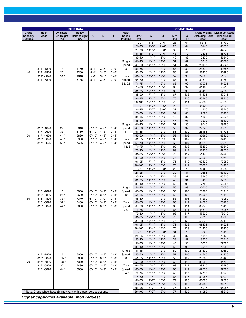| <b>Hoist</b><br>Available<br><b>Crane Weight</b><br><b>Maximum Static</b><br>Crane<br><b>Trolley</b><br>Hoist<br>D <sup>**</sup><br><b>Model</b><br><b>Hoist Weight</b><br>C<br>E<br>F<br><b>SPAN</b><br>B<br>G<br><b>Excluding Hoist</b><br>Capacity<br>Lift Height<br>Speed<br>A<br><b>Wheel Load</b><br>(Tonnes)<br>(ft.)<br>(lbs.)<br>(ft./min.)<br>(in.)<br>(in.)<br>(lbs.)<br>(lbs.)<br>(ft.)<br>$11'-5''$<br>$9' - 6"$<br>8375<br>$-20$<br>28<br>64<br>41700<br>$21 - 25$<br>$11'-5''$<br>$9' - 6"$<br>28<br>64<br>10140<br>43535<br>75<br>26-30<br>$11'-5''$<br>$9' - 6"$<br>39<br>10855<br>44645<br>$9' - 6"$<br>$31 - 35$<br>$11'-7$<br>43<br>79<br>12695<br>45775<br>36-40<br>$14' - 1''$<br>$12 - 0$ "<br>46<br>82<br>15370<br>46940<br>$41 - 45$<br>$14'-1$ "<br>$12'-0''$<br>51<br>87<br>18310<br>48065<br>Single<br>46-50<br>$14' - 1''$<br>$12 - 0$ "<br>51<br>87<br>20195<br>48845<br>Speed:<br>$51 - 55$<br>$14'-1$ "<br>$3'-5''$<br>$3'-0''$<br>$12 - 0$ "<br>53<br>89<br>23320<br>49885<br>3141-1826<br>13<br>4150<br>$5 - 1"$<br>8<br>$14 - 1"$<br>20<br>$5 - 1"$<br>$3'-5''$<br>$3'-0''$<br>56-60<br>$12 - 0$ "<br>55<br>91<br>26470<br>50880<br>40<br>3141-2826<br>4260<br>$61 - 65$<br>$14'-1$ "<br>3141-3826<br>$31*$<br>4810<br>$5' - 1"$<br>$3'-5"$<br>$3'-0''$<br>$12 - 0$ "<br>59<br>95<br>29580<br>51840<br>Two<br>41 *<br>$5' - 1"$<br>$3'-5"$<br>$3'-0''$<br>66-70<br>$14 - 1"$<br>$12 - 0$ "<br>63<br>99<br>32610<br>52750<br>3141-5826<br>5185<br>Speed:<br>8 & 2.5<br>$71 - 75$<br>$14'-1$ "<br>$12'-0''$<br>63<br>99<br>37975<br>54225<br>76-80<br>$14 - 1"$<br>$15 - 0$ "<br>63<br>99<br>41460<br>55210<br>$17' - 1''$<br>$81 - 85$<br>$15 - 0$ "<br>63<br>99<br>48455<br>57060<br>$17'-1$ "<br>86-90<br>$15 - 0$ "<br>103<br>51495<br>57915<br>67<br>91-95<br>$17' - 1''$<br>$15 - 0$ "<br>70<br>106<br>55160<br>58915<br>96-100<br>$17' - 1''$<br>$15 - 0$ "<br>75<br>111<br>58760<br>59885<br>$-20$<br>$11'-7$<br>$9' - 6"$<br>28<br>72<br>9055<br>51290<br>$21 - 25$<br>$11'-7"$<br>$9' - 6"$<br>75<br>31<br>11100<br>53740<br>$26 - 30$<br>$14' - 1''$<br>$12'-0$ "<br>39<br>83<br>12590<br>55400<br>$31 - 35$<br>$14' - 1''$<br>$12 - 0$ "<br>43<br>87<br>14800<br>56875<br>$14'-1$ "<br>36-40<br>$12'-0''$<br>47<br>91<br>17270<br>58190<br>$41 - 45$<br>$14 - 1"$<br>$12 - 0$ "<br>51<br>95<br>19545<br>59295<br>Single<br>22<br>$6' - 10"$<br>$4 - 8$ "<br>$3'-4"$<br>46-50<br>$14 - 1"$<br>$12 - 0$ "<br>53<br>97<br>22845<br>60550<br>3171-1626<br>5610<br>Speed:<br>$51 - 55$<br>$14' - 1''$<br>$12 - 0$ "<br>3171-2626<br>33<br>6160<br>$6' - 10"$<br>$4'-8''$<br>$3'-4"$<br>11<br>56<br>100<br>26185<br>61735<br>$14'-1$ "<br>50<br>3171-4626<br>44 *<br>6820<br>$6' - 10"$<br>$4'-8''$<br>$3'-4"$<br>56-60<br>$12 - 0$ "<br>58<br>102<br>30560<br>63125<br>$3'-4"$<br>$61 - 65$<br>$14' - 1''$<br>107<br>3171-5626<br>49 *<br>$6' - 10"$<br>$4 - 8"$<br>$12 - 0$ "<br>63<br>33660<br>64150<br>6930<br>Two<br>66-70<br>$14'-1$ "<br>3171-6626<br>7425<br>$6' - 10"$<br>$4'-8''$<br>$3'-4"$<br>$12 - 0$ "<br>63<br>107<br>39610<br>65850<br>58 *<br>Speed:<br>11 & 2<br>$71 - 75$<br>$14' - 1''$<br>$12 - 0$ "<br>65<br>109<br>43250<br>66940<br>76-80<br>$14 - 1"$<br>$12'-0''$<br>68<br>112<br>46920<br>68020<br>$81 - 85$<br>$17' - 1''$<br>$15 - 0$ "<br>75<br>119<br>51445<br>69295<br>86-90<br>$17' - 1''$<br>56600<br>$15 - 0$ "<br>75<br>119<br>70710<br>$17' - 1''$<br>91-95<br>$15 - 0$ "<br>75<br>119<br>62420<br>72280<br>$17' - 1''$<br>96-100<br>$15 - 0$ "<br>75<br>119<br>70805<br>74480<br>$11'-7"$<br>$-20$<br>$9' - 6''$<br>28<br>76<br>9600<br>60865<br>$21 - 25$<br>$14'-1$<br>$12'-0''$<br>39<br>87<br>10855<br>63490<br>$14' - 1''$<br>87<br>26-30<br>$12 - 0$ "<br>39<br>13160<br>65605<br>$31 - 35$<br>$14'-1$ "<br>$12'-0''$<br>43<br>91<br>15485<br>67285<br>$14 - 1$ "<br>36-40<br>$12 - 0$ "<br>50<br>98<br>17780<br>68685<br>$41 - 45$<br>$14'-1$ "<br>20705<br>$12'-0$ "<br>50<br>98<br>70055<br>Single<br>6050<br>$3'-9''$<br>$3'-3''$<br>46-50<br>$14' - 1''$<br>$12 - 0$ "<br>103<br>23265<br>71210<br>3161-1826<br>16<br>$6' - 10"$<br>Speed:<br>55<br>3161-2826<br>25 *<br>6600<br>$6' - 10"$<br>$3'-9''$<br>$3' - 3"$<br>10<br>$51 - 55$<br>$14' - 1''$<br>$12 - 0$ "<br>58<br>106<br>26505<br>72440<br>$3'-3''$<br>$14' - 1''$<br>58<br>60<br>$33*$<br>$6' - 10"$<br>$3'-9''$<br>56-60<br>$12 - 0$ "<br>106<br>31260<br>73980<br>3161-4826<br>7370<br>$37*$<br>$3' - 3"$<br>$6' - 10"$<br>$3'-9''$<br>61-65<br>$14'-1$ "<br>$12 - 0$ "<br>63<br>111<br>34620<br>75120<br>3161-5826<br>7480<br>Two<br>$6' - 10"$<br>$3' - 9"$<br>$3' - 3"$<br>66-70<br>$14 - 1$ "<br>$12 - 0$ "<br>63<br>8030<br>Speed:<br>38970<br>76455<br>3161-6826<br>$44*$<br><u>111</u><br>10 & 2<br>$14 - 1"$<br>$12 - 0$ "<br>$71 - 75$<br>63<br>111<br>44610<br>78085<br>76-80<br>$14 - 1"$<br>$12 - 0$ "<br>47520<br>79010<br>69<br>117<br>$81 - 85$<br>$17' - 1''$<br>$15 - 0$ "<br>123<br>53710<br>80725<br>75<br>$17' - 1''$<br>86-90<br>$15 - 0$ "<br>75<br>123<br>58970<br>82190<br>91-95<br>$17'-1$ "<br>$15 - 0$ "<br>84225<br>75<br>123<br>66575<br>96-100<br>$17 - 4"$<br>$15 - 0$ "<br>123<br>74400<br>86305<br>75<br>$-20$<br>$11'-7$<br>$9' - 6"$<br>31<br>10025<br>79<br>70155<br>$21 - 25$<br>$14 - 1"$<br>$12 - 0$ "<br>11315<br>73190<br>39<br>87<br>$14 - 1"$<br>26-30<br>$12 - 0$ "<br>39<br>13635<br>75515<br>87<br>$31 - 35$<br>$14 - 1"$<br>$12 - 0$ "<br>16035<br>77385<br>45<br><u>93</u><br>36-40<br>$14 - 1"$<br>$12 - 0$ "<br>50<br>98<br>18945<br>79080<br>$41 - 45$<br>$14 - 1"$<br>$12 - 0$ "<br>21890<br>Single<br>52<br>100<br>80550<br>$14'-1$ "<br>$6' - 10"$<br>$3'-9''$<br>$3'-3''$<br>46-50<br>$12 - 0$ "<br>57<br>105<br>24645<br>81830<br>3171-1826<br>16<br>6050<br>Speed:<br>25 *<br>$6' - 10"$<br>$3'-9''$<br>$3'-3''$<br>$51 - 55$<br>$14 - 1"$<br>$12 - 0$ "<br>29065<br>3171-2826<br>6600<br>8<br>59<br>107<br>83420<br>$6' - 10"$<br>$14 - 1$ "<br>70<br>3171-4826<br>$33*$<br>7370<br>$3'-9''$<br>$3' - 3''$<br>56-60<br>$12 - 0$ "<br>110<br>32650<br>84720<br>62<br>$37 *$<br>$14 - 4"$<br>3171-5826<br>7480<br>$6' - 10"$<br>$3'-9''$<br>$3' - 3"$<br>61-65<br>$12 - 0$ "<br>111<br>38315<br>86480<br>Two<br>63<br>$6' - 10"$<br>$3'-9''$<br>$3'-3''$<br>$14 - 4"$<br>3171-6826<br>44 *<br>8030<br>66-70<br>$12 - 0$ "<br>111<br>42730<br>87880<br>Speed:<br>63<br>8 & 1<br>$71 - 75$<br>$14 - 4"$<br>$12 - 0$ "<br>114<br>47745<br>89390<br>66<br>$14 - 4"$<br>76-80<br>$12'-0''$<br>116<br>52985<br>90920<br>68<br>81-85<br>$17' - 7"$<br>$15 - 0$ "<br>60025<br>92880<br>77<br>125<br>86-90<br>$17' - 7''$<br>$15 - 0$ "<br>66265<br>77<br>$125$<br>94610<br>$17' - 7''$<br>91-95<br>$15 - 0$ "<br>77<br><u>125</u><br>75015<br>96955<br>$17'-7''$<br>* Note: Crane wheel base (B) may vary with these hoist selections.<br>96-100<br>$15 - 0$ "<br>77<br>125<br>81085<br>98615 | <b>HOIST DATA</b> |  |  |  |  |  |  |  | <b>CRANE DATA</b> |  |  |  |  |  |  |
|------------------------------------------------------------------------------------------------------------------------------------------------------------------------------------------------------------------------------------------------------------------------------------------------------------------------------------------------------------------------------------------------------------------------------------------------------------------------------------------------------------------------------------------------------------------------------------------------------------------------------------------------------------------------------------------------------------------------------------------------------------------------------------------------------------------------------------------------------------------------------------------------------------------------------------------------------------------------------------------------------------------------------------------------------------------------------------------------------------------------------------------------------------------------------------------------------------------------------------------------------------------------------------------------------------------------------------------------------------------------------------------------------------------------------------------------------------------------------------------------------------------------------------------------------------------------------------------------------------------------------------------------------------------------------------------------------------------------------------------------------------------------------------------------------------------------------------------------------------------------------------------------------------------------------------------------------------------------------------------------------------------------------------------------------------------------------------------------------------------------------------------------------------------------------------------------------------------------------------------------------------------------------------------------------------------------------------------------------------------------------------------------------------------------------------------------------------------------------------------------------------------------------------------------------------------------------------------------------------------------------------------------------------------------------------------------------------------------------------------------------------------------------------------------------------------------------------------------------------------------------------------------------------------------------------------------------------------------------------------------------------------------------------------------------------------------------------------------------------------------------------------------------------------------------------------------------------------------------------------------------------------------------------------------------------------------------------------------------------------------------------------------------------------------------------------------------------------------------------------------------------------------------------------------------------------------------------------------------------------------------------------------------------------------------------------------------------------------------------------------------------------------------------------------------------------------------------------------------------------------------------------------------------------------------------------------------------------------------------------------------------------------------------------------------------------------------------------------------------------------------------------------------------------------------------------------------------------------------------------------------------------------------------------------------------------------------------------------------------------------------------------------------------------------------------------------------------------------------------------------------------------------------------------------------------------------------------------------------------------------------------------------------------------------------------------------------------------------------------------------------------------------------------------------------------------------------------------------------------------------------------------------------------------------------------------------------------------------------------------------------------------------------------------------------------------------------------------------------------------------------------------------------------------------------------------------------------------------------------------------------------------------------------------------------------------------------------------------------------------------------------------------------------------------------------------------------------------------------------------------------------------------------------------------------------------------------------------------------------------------------------------------------------------------------------------------------------------------------------------------------------------------------------------------------------------------------------------------------------------------------------------------------------------------------------------------------------------------------------------------------------------------------------------------------------------------------------------------------------------------------------------------------------------------------------------------------------------------------------------------------------------------------------------------------------------------------------------------------------------------------------------------------------------------------------------------------------------------------------------------------------------------------------------------------------------------------------------------------------------------------------------------------------------------------------------------------------------------------------------------------------------------------------------------------------------------------------------------------------------------------------------------------|-------------------|--|--|--|--|--|--|--|-------------------|--|--|--|--|--|--|
|                                                                                                                                                                                                                                                                                                                                                                                                                                                                                                                                                                                                                                                                                                                                                                                                                                                                                                                                                                                                                                                                                                                                                                                                                                                                                                                                                                                                                                                                                                                                                                                                                                                                                                                                                                                                                                                                                                                                                                                                                                                                                                                                                                                                                                                                                                                                                                                                                                                                                                                                                                                                                                                                                                                                                                                                                                                                                                                                                                                                                                                                                                                                                                                                                                                                                                                                                                                                                                                                                                                                                                                                                                                                                                                                                                                                                                                                                                                                                                                                                                                                                                                                                                                                                                                                                                                                                                                                                                                                                                                                                                                                                                                                                                                                                                                                                                                                                                                                                                                                                                                                                                                                                                                                                                                                                                                                                                                                                                                                                                                                                                                                                                                                                                                                                                                                                                                                                                                                                                                                                                                                                                                                                                                                                                                                                                                                                                                                                                                                                                                                                                                                                                                                                                                                                                                                                                                                                                      |                   |  |  |  |  |  |  |  |                   |  |  |  |  |  |  |
|                                                                                                                                                                                                                                                                                                                                                                                                                                                                                                                                                                                                                                                                                                                                                                                                                                                                                                                                                                                                                                                                                                                                                                                                                                                                                                                                                                                                                                                                                                                                                                                                                                                                                                                                                                                                                                                                                                                                                                                                                                                                                                                                                                                                                                                                                                                                                                                                                                                                                                                                                                                                                                                                                                                                                                                                                                                                                                                                                                                                                                                                                                                                                                                                                                                                                                                                                                                                                                                                                                                                                                                                                                                                                                                                                                                                                                                                                                                                                                                                                                                                                                                                                                                                                                                                                                                                                                                                                                                                                                                                                                                                                                                                                                                                                                                                                                                                                                                                                                                                                                                                                                                                                                                                                                                                                                                                                                                                                                                                                                                                                                                                                                                                                                                                                                                                                                                                                                                                                                                                                                                                                                                                                                                                                                                                                                                                                                                                                                                                                                                                                                                                                                                                                                                                                                                                                                                                                                      |                   |  |  |  |  |  |  |  |                   |  |  |  |  |  |  |
|                                                                                                                                                                                                                                                                                                                                                                                                                                                                                                                                                                                                                                                                                                                                                                                                                                                                                                                                                                                                                                                                                                                                                                                                                                                                                                                                                                                                                                                                                                                                                                                                                                                                                                                                                                                                                                                                                                                                                                                                                                                                                                                                                                                                                                                                                                                                                                                                                                                                                                                                                                                                                                                                                                                                                                                                                                                                                                                                                                                                                                                                                                                                                                                                                                                                                                                                                                                                                                                                                                                                                                                                                                                                                                                                                                                                                                                                                                                                                                                                                                                                                                                                                                                                                                                                                                                                                                                                                                                                                                                                                                                                                                                                                                                                                                                                                                                                                                                                                                                                                                                                                                                                                                                                                                                                                                                                                                                                                                                                                                                                                                                                                                                                                                                                                                                                                                                                                                                                                                                                                                                                                                                                                                                                                                                                                                                                                                                                                                                                                                                                                                                                                                                                                                                                                                                                                                                                                                      |                   |  |  |  |  |  |  |  |                   |  |  |  |  |  |  |
|                                                                                                                                                                                                                                                                                                                                                                                                                                                                                                                                                                                                                                                                                                                                                                                                                                                                                                                                                                                                                                                                                                                                                                                                                                                                                                                                                                                                                                                                                                                                                                                                                                                                                                                                                                                                                                                                                                                                                                                                                                                                                                                                                                                                                                                                                                                                                                                                                                                                                                                                                                                                                                                                                                                                                                                                                                                                                                                                                                                                                                                                                                                                                                                                                                                                                                                                                                                                                                                                                                                                                                                                                                                                                                                                                                                                                                                                                                                                                                                                                                                                                                                                                                                                                                                                                                                                                                                                                                                                                                                                                                                                                                                                                                                                                                                                                                                                                                                                                                                                                                                                                                                                                                                                                                                                                                                                                                                                                                                                                                                                                                                                                                                                                                                                                                                                                                                                                                                                                                                                                                                                                                                                                                                                                                                                                                                                                                                                                                                                                                                                                                                                                                                                                                                                                                                                                                                                                                      |                   |  |  |  |  |  |  |  |                   |  |  |  |  |  |  |
|                                                                                                                                                                                                                                                                                                                                                                                                                                                                                                                                                                                                                                                                                                                                                                                                                                                                                                                                                                                                                                                                                                                                                                                                                                                                                                                                                                                                                                                                                                                                                                                                                                                                                                                                                                                                                                                                                                                                                                                                                                                                                                                                                                                                                                                                                                                                                                                                                                                                                                                                                                                                                                                                                                                                                                                                                                                                                                                                                                                                                                                                                                                                                                                                                                                                                                                                                                                                                                                                                                                                                                                                                                                                                                                                                                                                                                                                                                                                                                                                                                                                                                                                                                                                                                                                                                                                                                                                                                                                                                                                                                                                                                                                                                                                                                                                                                                                                                                                                                                                                                                                                                                                                                                                                                                                                                                                                                                                                                                                                                                                                                                                                                                                                                                                                                                                                                                                                                                                                                                                                                                                                                                                                                                                                                                                                                                                                                                                                                                                                                                                                                                                                                                                                                                                                                                                                                                                                                      |                   |  |  |  |  |  |  |  |                   |  |  |  |  |  |  |
|                                                                                                                                                                                                                                                                                                                                                                                                                                                                                                                                                                                                                                                                                                                                                                                                                                                                                                                                                                                                                                                                                                                                                                                                                                                                                                                                                                                                                                                                                                                                                                                                                                                                                                                                                                                                                                                                                                                                                                                                                                                                                                                                                                                                                                                                                                                                                                                                                                                                                                                                                                                                                                                                                                                                                                                                                                                                                                                                                                                                                                                                                                                                                                                                                                                                                                                                                                                                                                                                                                                                                                                                                                                                                                                                                                                                                                                                                                                                                                                                                                                                                                                                                                                                                                                                                                                                                                                                                                                                                                                                                                                                                                                                                                                                                                                                                                                                                                                                                                                                                                                                                                                                                                                                                                                                                                                                                                                                                                                                                                                                                                                                                                                                                                                                                                                                                                                                                                                                                                                                                                                                                                                                                                                                                                                                                                                                                                                                                                                                                                                                                                                                                                                                                                                                                                                                                                                                                                      |                   |  |  |  |  |  |  |  |                   |  |  |  |  |  |  |
|                                                                                                                                                                                                                                                                                                                                                                                                                                                                                                                                                                                                                                                                                                                                                                                                                                                                                                                                                                                                                                                                                                                                                                                                                                                                                                                                                                                                                                                                                                                                                                                                                                                                                                                                                                                                                                                                                                                                                                                                                                                                                                                                                                                                                                                                                                                                                                                                                                                                                                                                                                                                                                                                                                                                                                                                                                                                                                                                                                                                                                                                                                                                                                                                                                                                                                                                                                                                                                                                                                                                                                                                                                                                                                                                                                                                                                                                                                                                                                                                                                                                                                                                                                                                                                                                                                                                                                                                                                                                                                                                                                                                                                                                                                                                                                                                                                                                                                                                                                                                                                                                                                                                                                                                                                                                                                                                                                                                                                                                                                                                                                                                                                                                                                                                                                                                                                                                                                                                                                                                                                                                                                                                                                                                                                                                                                                                                                                                                                                                                                                                                                                                                                                                                                                                                                                                                                                                                                      |                   |  |  |  |  |  |  |  |                   |  |  |  |  |  |  |
|                                                                                                                                                                                                                                                                                                                                                                                                                                                                                                                                                                                                                                                                                                                                                                                                                                                                                                                                                                                                                                                                                                                                                                                                                                                                                                                                                                                                                                                                                                                                                                                                                                                                                                                                                                                                                                                                                                                                                                                                                                                                                                                                                                                                                                                                                                                                                                                                                                                                                                                                                                                                                                                                                                                                                                                                                                                                                                                                                                                                                                                                                                                                                                                                                                                                                                                                                                                                                                                                                                                                                                                                                                                                                                                                                                                                                                                                                                                                                                                                                                                                                                                                                                                                                                                                                                                                                                                                                                                                                                                                                                                                                                                                                                                                                                                                                                                                                                                                                                                                                                                                                                                                                                                                                                                                                                                                                                                                                                                                                                                                                                                                                                                                                                                                                                                                                                                                                                                                                                                                                                                                                                                                                                                                                                                                                                                                                                                                                                                                                                                                                                                                                                                                                                                                                                                                                                                                                                      |                   |  |  |  |  |  |  |  |                   |  |  |  |  |  |  |
|                                                                                                                                                                                                                                                                                                                                                                                                                                                                                                                                                                                                                                                                                                                                                                                                                                                                                                                                                                                                                                                                                                                                                                                                                                                                                                                                                                                                                                                                                                                                                                                                                                                                                                                                                                                                                                                                                                                                                                                                                                                                                                                                                                                                                                                                                                                                                                                                                                                                                                                                                                                                                                                                                                                                                                                                                                                                                                                                                                                                                                                                                                                                                                                                                                                                                                                                                                                                                                                                                                                                                                                                                                                                                                                                                                                                                                                                                                                                                                                                                                                                                                                                                                                                                                                                                                                                                                                                                                                                                                                                                                                                                                                                                                                                                                                                                                                                                                                                                                                                                                                                                                                                                                                                                                                                                                                                                                                                                                                                                                                                                                                                                                                                                                                                                                                                                                                                                                                                                                                                                                                                                                                                                                                                                                                                                                                                                                                                                                                                                                                                                                                                                                                                                                                                                                                                                                                                                                      |                   |  |  |  |  |  |  |  |                   |  |  |  |  |  |  |
|                                                                                                                                                                                                                                                                                                                                                                                                                                                                                                                                                                                                                                                                                                                                                                                                                                                                                                                                                                                                                                                                                                                                                                                                                                                                                                                                                                                                                                                                                                                                                                                                                                                                                                                                                                                                                                                                                                                                                                                                                                                                                                                                                                                                                                                                                                                                                                                                                                                                                                                                                                                                                                                                                                                                                                                                                                                                                                                                                                                                                                                                                                                                                                                                                                                                                                                                                                                                                                                                                                                                                                                                                                                                                                                                                                                                                                                                                                                                                                                                                                                                                                                                                                                                                                                                                                                                                                                                                                                                                                                                                                                                                                                                                                                                                                                                                                                                                                                                                                                                                                                                                                                                                                                                                                                                                                                                                                                                                                                                                                                                                                                                                                                                                                                                                                                                                                                                                                                                                                                                                                                                                                                                                                                                                                                                                                                                                                                                                                                                                                                                                                                                                                                                                                                                                                                                                                                                                                      |                   |  |  |  |  |  |  |  |                   |  |  |  |  |  |  |
|                                                                                                                                                                                                                                                                                                                                                                                                                                                                                                                                                                                                                                                                                                                                                                                                                                                                                                                                                                                                                                                                                                                                                                                                                                                                                                                                                                                                                                                                                                                                                                                                                                                                                                                                                                                                                                                                                                                                                                                                                                                                                                                                                                                                                                                                                                                                                                                                                                                                                                                                                                                                                                                                                                                                                                                                                                                                                                                                                                                                                                                                                                                                                                                                                                                                                                                                                                                                                                                                                                                                                                                                                                                                                                                                                                                                                                                                                                                                                                                                                                                                                                                                                                                                                                                                                                                                                                                                                                                                                                                                                                                                                                                                                                                                                                                                                                                                                                                                                                                                                                                                                                                                                                                                                                                                                                                                                                                                                                                                                                                                                                                                                                                                                                                                                                                                                                                                                                                                                                                                                                                                                                                                                                                                                                                                                                                                                                                                                                                                                                                                                                                                                                                                                                                                                                                                                                                                                                      |                   |  |  |  |  |  |  |  |                   |  |  |  |  |  |  |
|                                                                                                                                                                                                                                                                                                                                                                                                                                                                                                                                                                                                                                                                                                                                                                                                                                                                                                                                                                                                                                                                                                                                                                                                                                                                                                                                                                                                                                                                                                                                                                                                                                                                                                                                                                                                                                                                                                                                                                                                                                                                                                                                                                                                                                                                                                                                                                                                                                                                                                                                                                                                                                                                                                                                                                                                                                                                                                                                                                                                                                                                                                                                                                                                                                                                                                                                                                                                                                                                                                                                                                                                                                                                                                                                                                                                                                                                                                                                                                                                                                                                                                                                                                                                                                                                                                                                                                                                                                                                                                                                                                                                                                                                                                                                                                                                                                                                                                                                                                                                                                                                                                                                                                                                                                                                                                                                                                                                                                                                                                                                                                                                                                                                                                                                                                                                                                                                                                                                                                                                                                                                                                                                                                                                                                                                                                                                                                                                                                                                                                                                                                                                                                                                                                                                                                                                                                                                                                      |                   |  |  |  |  |  |  |  |                   |  |  |  |  |  |  |
|                                                                                                                                                                                                                                                                                                                                                                                                                                                                                                                                                                                                                                                                                                                                                                                                                                                                                                                                                                                                                                                                                                                                                                                                                                                                                                                                                                                                                                                                                                                                                                                                                                                                                                                                                                                                                                                                                                                                                                                                                                                                                                                                                                                                                                                                                                                                                                                                                                                                                                                                                                                                                                                                                                                                                                                                                                                                                                                                                                                                                                                                                                                                                                                                                                                                                                                                                                                                                                                                                                                                                                                                                                                                                                                                                                                                                                                                                                                                                                                                                                                                                                                                                                                                                                                                                                                                                                                                                                                                                                                                                                                                                                                                                                                                                                                                                                                                                                                                                                                                                                                                                                                                                                                                                                                                                                                                                                                                                                                                                                                                                                                                                                                                                                                                                                                                                                                                                                                                                                                                                                                                                                                                                                                                                                                                                                                                                                                                                                                                                                                                                                                                                                                                                                                                                                                                                                                                                                      |                   |  |  |  |  |  |  |  |                   |  |  |  |  |  |  |
|                                                                                                                                                                                                                                                                                                                                                                                                                                                                                                                                                                                                                                                                                                                                                                                                                                                                                                                                                                                                                                                                                                                                                                                                                                                                                                                                                                                                                                                                                                                                                                                                                                                                                                                                                                                                                                                                                                                                                                                                                                                                                                                                                                                                                                                                                                                                                                                                                                                                                                                                                                                                                                                                                                                                                                                                                                                                                                                                                                                                                                                                                                                                                                                                                                                                                                                                                                                                                                                                                                                                                                                                                                                                                                                                                                                                                                                                                                                                                                                                                                                                                                                                                                                                                                                                                                                                                                                                                                                                                                                                                                                                                                                                                                                                                                                                                                                                                                                                                                                                                                                                                                                                                                                                                                                                                                                                                                                                                                                                                                                                                                                                                                                                                                                                                                                                                                                                                                                                                                                                                                                                                                                                                                                                                                                                                                                                                                                                                                                                                                                                                                                                                                                                                                                                                                                                                                                                                                      |                   |  |  |  |  |  |  |  |                   |  |  |  |  |  |  |
|                                                                                                                                                                                                                                                                                                                                                                                                                                                                                                                                                                                                                                                                                                                                                                                                                                                                                                                                                                                                                                                                                                                                                                                                                                                                                                                                                                                                                                                                                                                                                                                                                                                                                                                                                                                                                                                                                                                                                                                                                                                                                                                                                                                                                                                                                                                                                                                                                                                                                                                                                                                                                                                                                                                                                                                                                                                                                                                                                                                                                                                                                                                                                                                                                                                                                                                                                                                                                                                                                                                                                                                                                                                                                                                                                                                                                                                                                                                                                                                                                                                                                                                                                                                                                                                                                                                                                                                                                                                                                                                                                                                                                                                                                                                                                                                                                                                                                                                                                                                                                                                                                                                                                                                                                                                                                                                                                                                                                                                                                                                                                                                                                                                                                                                                                                                                                                                                                                                                                                                                                                                                                                                                                                                                                                                                                                                                                                                                                                                                                                                                                                                                                                                                                                                                                                                                                                                                                                      |                   |  |  |  |  |  |  |  |                   |  |  |  |  |  |  |
|                                                                                                                                                                                                                                                                                                                                                                                                                                                                                                                                                                                                                                                                                                                                                                                                                                                                                                                                                                                                                                                                                                                                                                                                                                                                                                                                                                                                                                                                                                                                                                                                                                                                                                                                                                                                                                                                                                                                                                                                                                                                                                                                                                                                                                                                                                                                                                                                                                                                                                                                                                                                                                                                                                                                                                                                                                                                                                                                                                                                                                                                                                                                                                                                                                                                                                                                                                                                                                                                                                                                                                                                                                                                                                                                                                                                                                                                                                                                                                                                                                                                                                                                                                                                                                                                                                                                                                                                                                                                                                                                                                                                                                                                                                                                                                                                                                                                                                                                                                                                                                                                                                                                                                                                                                                                                                                                                                                                                                                                                                                                                                                                                                                                                                                                                                                                                                                                                                                                                                                                                                                                                                                                                                                                                                                                                                                                                                                                                                                                                                                                                                                                                                                                                                                                                                                                                                                                                                      |                   |  |  |  |  |  |  |  |                   |  |  |  |  |  |  |
|                                                                                                                                                                                                                                                                                                                                                                                                                                                                                                                                                                                                                                                                                                                                                                                                                                                                                                                                                                                                                                                                                                                                                                                                                                                                                                                                                                                                                                                                                                                                                                                                                                                                                                                                                                                                                                                                                                                                                                                                                                                                                                                                                                                                                                                                                                                                                                                                                                                                                                                                                                                                                                                                                                                                                                                                                                                                                                                                                                                                                                                                                                                                                                                                                                                                                                                                                                                                                                                                                                                                                                                                                                                                                                                                                                                                                                                                                                                                                                                                                                                                                                                                                                                                                                                                                                                                                                                                                                                                                                                                                                                                                                                                                                                                                                                                                                                                                                                                                                                                                                                                                                                                                                                                                                                                                                                                                                                                                                                                                                                                                                                                                                                                                                                                                                                                                                                                                                                                                                                                                                                                                                                                                                                                                                                                                                                                                                                                                                                                                                                                                                                                                                                                                                                                                                                                                                                                                                      |                   |  |  |  |  |  |  |  |                   |  |  |  |  |  |  |
|                                                                                                                                                                                                                                                                                                                                                                                                                                                                                                                                                                                                                                                                                                                                                                                                                                                                                                                                                                                                                                                                                                                                                                                                                                                                                                                                                                                                                                                                                                                                                                                                                                                                                                                                                                                                                                                                                                                                                                                                                                                                                                                                                                                                                                                                                                                                                                                                                                                                                                                                                                                                                                                                                                                                                                                                                                                                                                                                                                                                                                                                                                                                                                                                                                                                                                                                                                                                                                                                                                                                                                                                                                                                                                                                                                                                                                                                                                                                                                                                                                                                                                                                                                                                                                                                                                                                                                                                                                                                                                                                                                                                                                                                                                                                                                                                                                                                                                                                                                                                                                                                                                                                                                                                                                                                                                                                                                                                                                                                                                                                                                                                                                                                                                                                                                                                                                                                                                                                                                                                                                                                                                                                                                                                                                                                                                                                                                                                                                                                                                                                                                                                                                                                                                                                                                                                                                                                                                      |                   |  |  |  |  |  |  |  |                   |  |  |  |  |  |  |
|                                                                                                                                                                                                                                                                                                                                                                                                                                                                                                                                                                                                                                                                                                                                                                                                                                                                                                                                                                                                                                                                                                                                                                                                                                                                                                                                                                                                                                                                                                                                                                                                                                                                                                                                                                                                                                                                                                                                                                                                                                                                                                                                                                                                                                                                                                                                                                                                                                                                                                                                                                                                                                                                                                                                                                                                                                                                                                                                                                                                                                                                                                                                                                                                                                                                                                                                                                                                                                                                                                                                                                                                                                                                                                                                                                                                                                                                                                                                                                                                                                                                                                                                                                                                                                                                                                                                                                                                                                                                                                                                                                                                                                                                                                                                                                                                                                                                                                                                                                                                                                                                                                                                                                                                                                                                                                                                                                                                                                                                                                                                                                                                                                                                                                                                                                                                                                                                                                                                                                                                                                                                                                                                                                                                                                                                                                                                                                                                                                                                                                                                                                                                                                                                                                                                                                                                                                                                                                      |                   |  |  |  |  |  |  |  |                   |  |  |  |  |  |  |
|                                                                                                                                                                                                                                                                                                                                                                                                                                                                                                                                                                                                                                                                                                                                                                                                                                                                                                                                                                                                                                                                                                                                                                                                                                                                                                                                                                                                                                                                                                                                                                                                                                                                                                                                                                                                                                                                                                                                                                                                                                                                                                                                                                                                                                                                                                                                                                                                                                                                                                                                                                                                                                                                                                                                                                                                                                                                                                                                                                                                                                                                                                                                                                                                                                                                                                                                                                                                                                                                                                                                                                                                                                                                                                                                                                                                                                                                                                                                                                                                                                                                                                                                                                                                                                                                                                                                                                                                                                                                                                                                                                                                                                                                                                                                                                                                                                                                                                                                                                                                                                                                                                                                                                                                                                                                                                                                                                                                                                                                                                                                                                                                                                                                                                                                                                                                                                                                                                                                                                                                                                                                                                                                                                                                                                                                                                                                                                                                                                                                                                                                                                                                                                                                                                                                                                                                                                                                                                      |                   |  |  |  |  |  |  |  |                   |  |  |  |  |  |  |
|                                                                                                                                                                                                                                                                                                                                                                                                                                                                                                                                                                                                                                                                                                                                                                                                                                                                                                                                                                                                                                                                                                                                                                                                                                                                                                                                                                                                                                                                                                                                                                                                                                                                                                                                                                                                                                                                                                                                                                                                                                                                                                                                                                                                                                                                                                                                                                                                                                                                                                                                                                                                                                                                                                                                                                                                                                                                                                                                                                                                                                                                                                                                                                                                                                                                                                                                                                                                                                                                                                                                                                                                                                                                                                                                                                                                                                                                                                                                                                                                                                                                                                                                                                                                                                                                                                                                                                                                                                                                                                                                                                                                                                                                                                                                                                                                                                                                                                                                                                                                                                                                                                                                                                                                                                                                                                                                                                                                                                                                                                                                                                                                                                                                                                                                                                                                                                                                                                                                                                                                                                                                                                                                                                                                                                                                                                                                                                                                                                                                                                                                                                                                                                                                                                                                                                                                                                                                                                      |                   |  |  |  |  |  |  |  |                   |  |  |  |  |  |  |
|                                                                                                                                                                                                                                                                                                                                                                                                                                                                                                                                                                                                                                                                                                                                                                                                                                                                                                                                                                                                                                                                                                                                                                                                                                                                                                                                                                                                                                                                                                                                                                                                                                                                                                                                                                                                                                                                                                                                                                                                                                                                                                                                                                                                                                                                                                                                                                                                                                                                                                                                                                                                                                                                                                                                                                                                                                                                                                                                                                                                                                                                                                                                                                                                                                                                                                                                                                                                                                                                                                                                                                                                                                                                                                                                                                                                                                                                                                                                                                                                                                                                                                                                                                                                                                                                                                                                                                                                                                                                                                                                                                                                                                                                                                                                                                                                                                                                                                                                                                                                                                                                                                                                                                                                                                                                                                                                                                                                                                                                                                                                                                                                                                                                                                                                                                                                                                                                                                                                                                                                                                                                                                                                                                                                                                                                                                                                                                                                                                                                                                                                                                                                                                                                                                                                                                                                                                                                                                      |                   |  |  |  |  |  |  |  |                   |  |  |  |  |  |  |
|                                                                                                                                                                                                                                                                                                                                                                                                                                                                                                                                                                                                                                                                                                                                                                                                                                                                                                                                                                                                                                                                                                                                                                                                                                                                                                                                                                                                                                                                                                                                                                                                                                                                                                                                                                                                                                                                                                                                                                                                                                                                                                                                                                                                                                                                                                                                                                                                                                                                                                                                                                                                                                                                                                                                                                                                                                                                                                                                                                                                                                                                                                                                                                                                                                                                                                                                                                                                                                                                                                                                                                                                                                                                                                                                                                                                                                                                                                                                                                                                                                                                                                                                                                                                                                                                                                                                                                                                                                                                                                                                                                                                                                                                                                                                                                                                                                                                                                                                                                                                                                                                                                                                                                                                                                                                                                                                                                                                                                                                                                                                                                                                                                                                                                                                                                                                                                                                                                                                                                                                                                                                                                                                                                                                                                                                                                                                                                                                                                                                                                                                                                                                                                                                                                                                                                                                                                                                                                      |                   |  |  |  |  |  |  |  |                   |  |  |  |  |  |  |
|                                                                                                                                                                                                                                                                                                                                                                                                                                                                                                                                                                                                                                                                                                                                                                                                                                                                                                                                                                                                                                                                                                                                                                                                                                                                                                                                                                                                                                                                                                                                                                                                                                                                                                                                                                                                                                                                                                                                                                                                                                                                                                                                                                                                                                                                                                                                                                                                                                                                                                                                                                                                                                                                                                                                                                                                                                                                                                                                                                                                                                                                                                                                                                                                                                                                                                                                                                                                                                                                                                                                                                                                                                                                                                                                                                                                                                                                                                                                                                                                                                                                                                                                                                                                                                                                                                                                                                                                                                                                                                                                                                                                                                                                                                                                                                                                                                                                                                                                                                                                                                                                                                                                                                                                                                                                                                                                                                                                                                                                                                                                                                                                                                                                                                                                                                                                                                                                                                                                                                                                                                                                                                                                                                                                                                                                                                                                                                                                                                                                                                                                                                                                                                                                                                                                                                                                                                                                                                      |                   |  |  |  |  |  |  |  |                   |  |  |  |  |  |  |
|                                                                                                                                                                                                                                                                                                                                                                                                                                                                                                                                                                                                                                                                                                                                                                                                                                                                                                                                                                                                                                                                                                                                                                                                                                                                                                                                                                                                                                                                                                                                                                                                                                                                                                                                                                                                                                                                                                                                                                                                                                                                                                                                                                                                                                                                                                                                                                                                                                                                                                                                                                                                                                                                                                                                                                                                                                                                                                                                                                                                                                                                                                                                                                                                                                                                                                                                                                                                                                                                                                                                                                                                                                                                                                                                                                                                                                                                                                                                                                                                                                                                                                                                                                                                                                                                                                                                                                                                                                                                                                                                                                                                                                                                                                                                                                                                                                                                                                                                                                                                                                                                                                                                                                                                                                                                                                                                                                                                                                                                                                                                                                                                                                                                                                                                                                                                                                                                                                                                                                                                                                                                                                                                                                                                                                                                                                                                                                                                                                                                                                                                                                                                                                                                                                                                                                                                                                                                                                      |                   |  |  |  |  |  |  |  |                   |  |  |  |  |  |  |
|                                                                                                                                                                                                                                                                                                                                                                                                                                                                                                                                                                                                                                                                                                                                                                                                                                                                                                                                                                                                                                                                                                                                                                                                                                                                                                                                                                                                                                                                                                                                                                                                                                                                                                                                                                                                                                                                                                                                                                                                                                                                                                                                                                                                                                                                                                                                                                                                                                                                                                                                                                                                                                                                                                                                                                                                                                                                                                                                                                                                                                                                                                                                                                                                                                                                                                                                                                                                                                                                                                                                                                                                                                                                                                                                                                                                                                                                                                                                                                                                                                                                                                                                                                                                                                                                                                                                                                                                                                                                                                                                                                                                                                                                                                                                                                                                                                                                                                                                                                                                                                                                                                                                                                                                                                                                                                                                                                                                                                                                                                                                                                                                                                                                                                                                                                                                                                                                                                                                                                                                                                                                                                                                                                                                                                                                                                                                                                                                                                                                                                                                                                                                                                                                                                                                                                                                                                                                                                      |                   |  |  |  |  |  |  |  |                   |  |  |  |  |  |  |
|                                                                                                                                                                                                                                                                                                                                                                                                                                                                                                                                                                                                                                                                                                                                                                                                                                                                                                                                                                                                                                                                                                                                                                                                                                                                                                                                                                                                                                                                                                                                                                                                                                                                                                                                                                                                                                                                                                                                                                                                                                                                                                                                                                                                                                                                                                                                                                                                                                                                                                                                                                                                                                                                                                                                                                                                                                                                                                                                                                                                                                                                                                                                                                                                                                                                                                                                                                                                                                                                                                                                                                                                                                                                                                                                                                                                                                                                                                                                                                                                                                                                                                                                                                                                                                                                                                                                                                                                                                                                                                                                                                                                                                                                                                                                                                                                                                                                                                                                                                                                                                                                                                                                                                                                                                                                                                                                                                                                                                                                                                                                                                                                                                                                                                                                                                                                                                                                                                                                                                                                                                                                                                                                                                                                                                                                                                                                                                                                                                                                                                                                                                                                                                                                                                                                                                                                                                                                                                      |                   |  |  |  |  |  |  |  |                   |  |  |  |  |  |  |
|                                                                                                                                                                                                                                                                                                                                                                                                                                                                                                                                                                                                                                                                                                                                                                                                                                                                                                                                                                                                                                                                                                                                                                                                                                                                                                                                                                                                                                                                                                                                                                                                                                                                                                                                                                                                                                                                                                                                                                                                                                                                                                                                                                                                                                                                                                                                                                                                                                                                                                                                                                                                                                                                                                                                                                                                                                                                                                                                                                                                                                                                                                                                                                                                                                                                                                                                                                                                                                                                                                                                                                                                                                                                                                                                                                                                                                                                                                                                                                                                                                                                                                                                                                                                                                                                                                                                                                                                                                                                                                                                                                                                                                                                                                                                                                                                                                                                                                                                                                                                                                                                                                                                                                                                                                                                                                                                                                                                                                                                                                                                                                                                                                                                                                                                                                                                                                                                                                                                                                                                                                                                                                                                                                                                                                                                                                                                                                                                                                                                                                                                                                                                                                                                                                                                                                                                                                                                                                      |                   |  |  |  |  |  |  |  |                   |  |  |  |  |  |  |
|                                                                                                                                                                                                                                                                                                                                                                                                                                                                                                                                                                                                                                                                                                                                                                                                                                                                                                                                                                                                                                                                                                                                                                                                                                                                                                                                                                                                                                                                                                                                                                                                                                                                                                                                                                                                                                                                                                                                                                                                                                                                                                                                                                                                                                                                                                                                                                                                                                                                                                                                                                                                                                                                                                                                                                                                                                                                                                                                                                                                                                                                                                                                                                                                                                                                                                                                                                                                                                                                                                                                                                                                                                                                                                                                                                                                                                                                                                                                                                                                                                                                                                                                                                                                                                                                                                                                                                                                                                                                                                                                                                                                                                                                                                                                                                                                                                                                                                                                                                                                                                                                                                                                                                                                                                                                                                                                                                                                                                                                                                                                                                                                                                                                                                                                                                                                                                                                                                                                                                                                                                                                                                                                                                                                                                                                                                                                                                                                                                                                                                                                                                                                                                                                                                                                                                                                                                                                                                      |                   |  |  |  |  |  |  |  |                   |  |  |  |  |  |  |
|                                                                                                                                                                                                                                                                                                                                                                                                                                                                                                                                                                                                                                                                                                                                                                                                                                                                                                                                                                                                                                                                                                                                                                                                                                                                                                                                                                                                                                                                                                                                                                                                                                                                                                                                                                                                                                                                                                                                                                                                                                                                                                                                                                                                                                                                                                                                                                                                                                                                                                                                                                                                                                                                                                                                                                                                                                                                                                                                                                                                                                                                                                                                                                                                                                                                                                                                                                                                                                                                                                                                                                                                                                                                                                                                                                                                                                                                                                                                                                                                                                                                                                                                                                                                                                                                                                                                                                                                                                                                                                                                                                                                                                                                                                                                                                                                                                                                                                                                                                                                                                                                                                                                                                                                                                                                                                                                                                                                                                                                                                                                                                                                                                                                                                                                                                                                                                                                                                                                                                                                                                                                                                                                                                                                                                                                                                                                                                                                                                                                                                                                                                                                                                                                                                                                                                                                                                                                                                      |                   |  |  |  |  |  |  |  |                   |  |  |  |  |  |  |
|                                                                                                                                                                                                                                                                                                                                                                                                                                                                                                                                                                                                                                                                                                                                                                                                                                                                                                                                                                                                                                                                                                                                                                                                                                                                                                                                                                                                                                                                                                                                                                                                                                                                                                                                                                                                                                                                                                                                                                                                                                                                                                                                                                                                                                                                                                                                                                                                                                                                                                                                                                                                                                                                                                                                                                                                                                                                                                                                                                                                                                                                                                                                                                                                                                                                                                                                                                                                                                                                                                                                                                                                                                                                                                                                                                                                                                                                                                                                                                                                                                                                                                                                                                                                                                                                                                                                                                                                                                                                                                                                                                                                                                                                                                                                                                                                                                                                                                                                                                                                                                                                                                                                                                                                                                                                                                                                                                                                                                                                                                                                                                                                                                                                                                                                                                                                                                                                                                                                                                                                                                                                                                                                                                                                                                                                                                                                                                                                                                                                                                                                                                                                                                                                                                                                                                                                                                                                                                      |                   |  |  |  |  |  |  |  |                   |  |  |  |  |  |  |
|                                                                                                                                                                                                                                                                                                                                                                                                                                                                                                                                                                                                                                                                                                                                                                                                                                                                                                                                                                                                                                                                                                                                                                                                                                                                                                                                                                                                                                                                                                                                                                                                                                                                                                                                                                                                                                                                                                                                                                                                                                                                                                                                                                                                                                                                                                                                                                                                                                                                                                                                                                                                                                                                                                                                                                                                                                                                                                                                                                                                                                                                                                                                                                                                                                                                                                                                                                                                                                                                                                                                                                                                                                                                                                                                                                                                                                                                                                                                                                                                                                                                                                                                                                                                                                                                                                                                                                                                                                                                                                                                                                                                                                                                                                                                                                                                                                                                                                                                                                                                                                                                                                                                                                                                                                                                                                                                                                                                                                                                                                                                                                                                                                                                                                                                                                                                                                                                                                                                                                                                                                                                                                                                                                                                                                                                                                                                                                                                                                                                                                                                                                                                                                                                                                                                                                                                                                                                                                      |                   |  |  |  |  |  |  |  |                   |  |  |  |  |  |  |
|                                                                                                                                                                                                                                                                                                                                                                                                                                                                                                                                                                                                                                                                                                                                                                                                                                                                                                                                                                                                                                                                                                                                                                                                                                                                                                                                                                                                                                                                                                                                                                                                                                                                                                                                                                                                                                                                                                                                                                                                                                                                                                                                                                                                                                                                                                                                                                                                                                                                                                                                                                                                                                                                                                                                                                                                                                                                                                                                                                                                                                                                                                                                                                                                                                                                                                                                                                                                                                                                                                                                                                                                                                                                                                                                                                                                                                                                                                                                                                                                                                                                                                                                                                                                                                                                                                                                                                                                                                                                                                                                                                                                                                                                                                                                                                                                                                                                                                                                                                                                                                                                                                                                                                                                                                                                                                                                                                                                                                                                                                                                                                                                                                                                                                                                                                                                                                                                                                                                                                                                                                                                                                                                                                                                                                                                                                                                                                                                                                                                                                                                                                                                                                                                                                                                                                                                                                                                                                      |                   |  |  |  |  |  |  |  |                   |  |  |  |  |  |  |
|                                                                                                                                                                                                                                                                                                                                                                                                                                                                                                                                                                                                                                                                                                                                                                                                                                                                                                                                                                                                                                                                                                                                                                                                                                                                                                                                                                                                                                                                                                                                                                                                                                                                                                                                                                                                                                                                                                                                                                                                                                                                                                                                                                                                                                                                                                                                                                                                                                                                                                                                                                                                                                                                                                                                                                                                                                                                                                                                                                                                                                                                                                                                                                                                                                                                                                                                                                                                                                                                                                                                                                                                                                                                                                                                                                                                                                                                                                                                                                                                                                                                                                                                                                                                                                                                                                                                                                                                                                                                                                                                                                                                                                                                                                                                                                                                                                                                                                                                                                                                                                                                                                                                                                                                                                                                                                                                                                                                                                                                                                                                                                                                                                                                                                                                                                                                                                                                                                                                                                                                                                                                                                                                                                                                                                                                                                                                                                                                                                                                                                                                                                                                                                                                                                                                                                                                                                                                                                      |                   |  |  |  |  |  |  |  |                   |  |  |  |  |  |  |
|                                                                                                                                                                                                                                                                                                                                                                                                                                                                                                                                                                                                                                                                                                                                                                                                                                                                                                                                                                                                                                                                                                                                                                                                                                                                                                                                                                                                                                                                                                                                                                                                                                                                                                                                                                                                                                                                                                                                                                                                                                                                                                                                                                                                                                                                                                                                                                                                                                                                                                                                                                                                                                                                                                                                                                                                                                                                                                                                                                                                                                                                                                                                                                                                                                                                                                                                                                                                                                                                                                                                                                                                                                                                                                                                                                                                                                                                                                                                                                                                                                                                                                                                                                                                                                                                                                                                                                                                                                                                                                                                                                                                                                                                                                                                                                                                                                                                                                                                                                                                                                                                                                                                                                                                                                                                                                                                                                                                                                                                                                                                                                                                                                                                                                                                                                                                                                                                                                                                                                                                                                                                                                                                                                                                                                                                                                                                                                                                                                                                                                                                                                                                                                                                                                                                                                                                                                                                                                      |                   |  |  |  |  |  |  |  |                   |  |  |  |  |  |  |
|                                                                                                                                                                                                                                                                                                                                                                                                                                                                                                                                                                                                                                                                                                                                                                                                                                                                                                                                                                                                                                                                                                                                                                                                                                                                                                                                                                                                                                                                                                                                                                                                                                                                                                                                                                                                                                                                                                                                                                                                                                                                                                                                                                                                                                                                                                                                                                                                                                                                                                                                                                                                                                                                                                                                                                                                                                                                                                                                                                                                                                                                                                                                                                                                                                                                                                                                                                                                                                                                                                                                                                                                                                                                                                                                                                                                                                                                                                                                                                                                                                                                                                                                                                                                                                                                                                                                                                                                                                                                                                                                                                                                                                                                                                                                                                                                                                                                                                                                                                                                                                                                                                                                                                                                                                                                                                                                                                                                                                                                                                                                                                                                                                                                                                                                                                                                                                                                                                                                                                                                                                                                                                                                                                                                                                                                                                                                                                                                                                                                                                                                                                                                                                                                                                                                                                                                                                                                                                      |                   |  |  |  |  |  |  |  |                   |  |  |  |  |  |  |
|                                                                                                                                                                                                                                                                                                                                                                                                                                                                                                                                                                                                                                                                                                                                                                                                                                                                                                                                                                                                                                                                                                                                                                                                                                                                                                                                                                                                                                                                                                                                                                                                                                                                                                                                                                                                                                                                                                                                                                                                                                                                                                                                                                                                                                                                                                                                                                                                                                                                                                                                                                                                                                                                                                                                                                                                                                                                                                                                                                                                                                                                                                                                                                                                                                                                                                                                                                                                                                                                                                                                                                                                                                                                                                                                                                                                                                                                                                                                                                                                                                                                                                                                                                                                                                                                                                                                                                                                                                                                                                                                                                                                                                                                                                                                                                                                                                                                                                                                                                                                                                                                                                                                                                                                                                                                                                                                                                                                                                                                                                                                                                                                                                                                                                                                                                                                                                                                                                                                                                                                                                                                                                                                                                                                                                                                                                                                                                                                                                                                                                                                                                                                                                                                                                                                                                                                                                                                                                      |                   |  |  |  |  |  |  |  |                   |  |  |  |  |  |  |
|                                                                                                                                                                                                                                                                                                                                                                                                                                                                                                                                                                                                                                                                                                                                                                                                                                                                                                                                                                                                                                                                                                                                                                                                                                                                                                                                                                                                                                                                                                                                                                                                                                                                                                                                                                                                                                                                                                                                                                                                                                                                                                                                                                                                                                                                                                                                                                                                                                                                                                                                                                                                                                                                                                                                                                                                                                                                                                                                                                                                                                                                                                                                                                                                                                                                                                                                                                                                                                                                                                                                                                                                                                                                                                                                                                                                                                                                                                                                                                                                                                                                                                                                                                                                                                                                                                                                                                                                                                                                                                                                                                                                                                                                                                                                                                                                                                                                                                                                                                                                                                                                                                                                                                                                                                                                                                                                                                                                                                                                                                                                                                                                                                                                                                                                                                                                                                                                                                                                                                                                                                                                                                                                                                                                                                                                                                                                                                                                                                                                                                                                                                                                                                                                                                                                                                                                                                                                                                      |                   |  |  |  |  |  |  |  |                   |  |  |  |  |  |  |
|                                                                                                                                                                                                                                                                                                                                                                                                                                                                                                                                                                                                                                                                                                                                                                                                                                                                                                                                                                                                                                                                                                                                                                                                                                                                                                                                                                                                                                                                                                                                                                                                                                                                                                                                                                                                                                                                                                                                                                                                                                                                                                                                                                                                                                                                                                                                                                                                                                                                                                                                                                                                                                                                                                                                                                                                                                                                                                                                                                                                                                                                                                                                                                                                                                                                                                                                                                                                                                                                                                                                                                                                                                                                                                                                                                                                                                                                                                                                                                                                                                                                                                                                                                                                                                                                                                                                                                                                                                                                                                                                                                                                                                                                                                                                                                                                                                                                                                                                                                                                                                                                                                                                                                                                                                                                                                                                                                                                                                                                                                                                                                                                                                                                                                                                                                                                                                                                                                                                                                                                                                                                                                                                                                                                                                                                                                                                                                                                                                                                                                                                                                                                                                                                                                                                                                                                                                                                                                      |                   |  |  |  |  |  |  |  |                   |  |  |  |  |  |  |
|                                                                                                                                                                                                                                                                                                                                                                                                                                                                                                                                                                                                                                                                                                                                                                                                                                                                                                                                                                                                                                                                                                                                                                                                                                                                                                                                                                                                                                                                                                                                                                                                                                                                                                                                                                                                                                                                                                                                                                                                                                                                                                                                                                                                                                                                                                                                                                                                                                                                                                                                                                                                                                                                                                                                                                                                                                                                                                                                                                                                                                                                                                                                                                                                                                                                                                                                                                                                                                                                                                                                                                                                                                                                                                                                                                                                                                                                                                                                                                                                                                                                                                                                                                                                                                                                                                                                                                                                                                                                                                                                                                                                                                                                                                                                                                                                                                                                                                                                                                                                                                                                                                                                                                                                                                                                                                                                                                                                                                                                                                                                                                                                                                                                                                                                                                                                                                                                                                                                                                                                                                                                                                                                                                                                                                                                                                                                                                                                                                                                                                                                                                                                                                                                                                                                                                                                                                                                                                      |                   |  |  |  |  |  |  |  |                   |  |  |  |  |  |  |
|                                                                                                                                                                                                                                                                                                                                                                                                                                                                                                                                                                                                                                                                                                                                                                                                                                                                                                                                                                                                                                                                                                                                                                                                                                                                                                                                                                                                                                                                                                                                                                                                                                                                                                                                                                                                                                                                                                                                                                                                                                                                                                                                                                                                                                                                                                                                                                                                                                                                                                                                                                                                                                                                                                                                                                                                                                                                                                                                                                                                                                                                                                                                                                                                                                                                                                                                                                                                                                                                                                                                                                                                                                                                                                                                                                                                                                                                                                                                                                                                                                                                                                                                                                                                                                                                                                                                                                                                                                                                                                                                                                                                                                                                                                                                                                                                                                                                                                                                                                                                                                                                                                                                                                                                                                                                                                                                                                                                                                                                                                                                                                                                                                                                                                                                                                                                                                                                                                                                                                                                                                                                                                                                                                                                                                                                                                                                                                                                                                                                                                                                                                                                                                                                                                                                                                                                                                                                                                      |                   |  |  |  |  |  |  |  |                   |  |  |  |  |  |  |
|                                                                                                                                                                                                                                                                                                                                                                                                                                                                                                                                                                                                                                                                                                                                                                                                                                                                                                                                                                                                                                                                                                                                                                                                                                                                                                                                                                                                                                                                                                                                                                                                                                                                                                                                                                                                                                                                                                                                                                                                                                                                                                                                                                                                                                                                                                                                                                                                                                                                                                                                                                                                                                                                                                                                                                                                                                                                                                                                                                                                                                                                                                                                                                                                                                                                                                                                                                                                                                                                                                                                                                                                                                                                                                                                                                                                                                                                                                                                                                                                                                                                                                                                                                                                                                                                                                                                                                                                                                                                                                                                                                                                                                                                                                                                                                                                                                                                                                                                                                                                                                                                                                                                                                                                                                                                                                                                                                                                                                                                                                                                                                                                                                                                                                                                                                                                                                                                                                                                                                                                                                                                                                                                                                                                                                                                                                                                                                                                                                                                                                                                                                                                                                                                                                                                                                                                                                                                                                      |                   |  |  |  |  |  |  |  |                   |  |  |  |  |  |  |
|                                                                                                                                                                                                                                                                                                                                                                                                                                                                                                                                                                                                                                                                                                                                                                                                                                                                                                                                                                                                                                                                                                                                                                                                                                                                                                                                                                                                                                                                                                                                                                                                                                                                                                                                                                                                                                                                                                                                                                                                                                                                                                                                                                                                                                                                                                                                                                                                                                                                                                                                                                                                                                                                                                                                                                                                                                                                                                                                                                                                                                                                                                                                                                                                                                                                                                                                                                                                                                                                                                                                                                                                                                                                                                                                                                                                                                                                                                                                                                                                                                                                                                                                                                                                                                                                                                                                                                                                                                                                                                                                                                                                                                                                                                                                                                                                                                                                                                                                                                                                                                                                                                                                                                                                                                                                                                                                                                                                                                                                                                                                                                                                                                                                                                                                                                                                                                                                                                                                                                                                                                                                                                                                                                                                                                                                                                                                                                                                                                                                                                                                                                                                                                                                                                                                                                                                                                                                                                      |                   |  |  |  |  |  |  |  |                   |  |  |  |  |  |  |
|                                                                                                                                                                                                                                                                                                                                                                                                                                                                                                                                                                                                                                                                                                                                                                                                                                                                                                                                                                                                                                                                                                                                                                                                                                                                                                                                                                                                                                                                                                                                                                                                                                                                                                                                                                                                                                                                                                                                                                                                                                                                                                                                                                                                                                                                                                                                                                                                                                                                                                                                                                                                                                                                                                                                                                                                                                                                                                                                                                                                                                                                                                                                                                                                                                                                                                                                                                                                                                                                                                                                                                                                                                                                                                                                                                                                                                                                                                                                                                                                                                                                                                                                                                                                                                                                                                                                                                                                                                                                                                                                                                                                                                                                                                                                                                                                                                                                                                                                                                                                                                                                                                                                                                                                                                                                                                                                                                                                                                                                                                                                                                                                                                                                                                                                                                                                                                                                                                                                                                                                                                                                                                                                                                                                                                                                                                                                                                                                                                                                                                                                                                                                                                                                                                                                                                                                                                                                                                      |                   |  |  |  |  |  |  |  |                   |  |  |  |  |  |  |
|                                                                                                                                                                                                                                                                                                                                                                                                                                                                                                                                                                                                                                                                                                                                                                                                                                                                                                                                                                                                                                                                                                                                                                                                                                                                                                                                                                                                                                                                                                                                                                                                                                                                                                                                                                                                                                                                                                                                                                                                                                                                                                                                                                                                                                                                                                                                                                                                                                                                                                                                                                                                                                                                                                                                                                                                                                                                                                                                                                                                                                                                                                                                                                                                                                                                                                                                                                                                                                                                                                                                                                                                                                                                                                                                                                                                                                                                                                                                                                                                                                                                                                                                                                                                                                                                                                                                                                                                                                                                                                                                                                                                                                                                                                                                                                                                                                                                                                                                                                                                                                                                                                                                                                                                                                                                                                                                                                                                                                                                                                                                                                                                                                                                                                                                                                                                                                                                                                                                                                                                                                                                                                                                                                                                                                                                                                                                                                                                                                                                                                                                                                                                                                                                                                                                                                                                                                                                                                      |                   |  |  |  |  |  |  |  |                   |  |  |  |  |  |  |
|                                                                                                                                                                                                                                                                                                                                                                                                                                                                                                                                                                                                                                                                                                                                                                                                                                                                                                                                                                                                                                                                                                                                                                                                                                                                                                                                                                                                                                                                                                                                                                                                                                                                                                                                                                                                                                                                                                                                                                                                                                                                                                                                                                                                                                                                                                                                                                                                                                                                                                                                                                                                                                                                                                                                                                                                                                                                                                                                                                                                                                                                                                                                                                                                                                                                                                                                                                                                                                                                                                                                                                                                                                                                                                                                                                                                                                                                                                                                                                                                                                                                                                                                                                                                                                                                                                                                                                                                                                                                                                                                                                                                                                                                                                                                                                                                                                                                                                                                                                                                                                                                                                                                                                                                                                                                                                                                                                                                                                                                                                                                                                                                                                                                                                                                                                                                                                                                                                                                                                                                                                                                                                                                                                                                                                                                                                                                                                                                                                                                                                                                                                                                                                                                                                                                                                                                                                                                                                      |                   |  |  |  |  |  |  |  |                   |  |  |  |  |  |  |
|                                                                                                                                                                                                                                                                                                                                                                                                                                                                                                                                                                                                                                                                                                                                                                                                                                                                                                                                                                                                                                                                                                                                                                                                                                                                                                                                                                                                                                                                                                                                                                                                                                                                                                                                                                                                                                                                                                                                                                                                                                                                                                                                                                                                                                                                                                                                                                                                                                                                                                                                                                                                                                                                                                                                                                                                                                                                                                                                                                                                                                                                                                                                                                                                                                                                                                                                                                                                                                                                                                                                                                                                                                                                                                                                                                                                                                                                                                                                                                                                                                                                                                                                                                                                                                                                                                                                                                                                                                                                                                                                                                                                                                                                                                                                                                                                                                                                                                                                                                                                                                                                                                                                                                                                                                                                                                                                                                                                                                                                                                                                                                                                                                                                                                                                                                                                                                                                                                                                                                                                                                                                                                                                                                                                                                                                                                                                                                                                                                                                                                                                                                                                                                                                                                                                                                                                                                                                                                      |                   |  |  |  |  |  |  |  |                   |  |  |  |  |  |  |
|                                                                                                                                                                                                                                                                                                                                                                                                                                                                                                                                                                                                                                                                                                                                                                                                                                                                                                                                                                                                                                                                                                                                                                                                                                                                                                                                                                                                                                                                                                                                                                                                                                                                                                                                                                                                                                                                                                                                                                                                                                                                                                                                                                                                                                                                                                                                                                                                                                                                                                                                                                                                                                                                                                                                                                                                                                                                                                                                                                                                                                                                                                                                                                                                                                                                                                                                                                                                                                                                                                                                                                                                                                                                                                                                                                                                                                                                                                                                                                                                                                                                                                                                                                                                                                                                                                                                                                                                                                                                                                                                                                                                                                                                                                                                                                                                                                                                                                                                                                                                                                                                                                                                                                                                                                                                                                                                                                                                                                                                                                                                                                                                                                                                                                                                                                                                                                                                                                                                                                                                                                                                                                                                                                                                                                                                                                                                                                                                                                                                                                                                                                                                                                                                                                                                                                                                                                                                                                      |                   |  |  |  |  |  |  |  |                   |  |  |  |  |  |  |
|                                                                                                                                                                                                                                                                                                                                                                                                                                                                                                                                                                                                                                                                                                                                                                                                                                                                                                                                                                                                                                                                                                                                                                                                                                                                                                                                                                                                                                                                                                                                                                                                                                                                                                                                                                                                                                                                                                                                                                                                                                                                                                                                                                                                                                                                                                                                                                                                                                                                                                                                                                                                                                                                                                                                                                                                                                                                                                                                                                                                                                                                                                                                                                                                                                                                                                                                                                                                                                                                                                                                                                                                                                                                                                                                                                                                                                                                                                                                                                                                                                                                                                                                                                                                                                                                                                                                                                                                                                                                                                                                                                                                                                                                                                                                                                                                                                                                                                                                                                                                                                                                                                                                                                                                                                                                                                                                                                                                                                                                                                                                                                                                                                                                                                                                                                                                                                                                                                                                                                                                                                                                                                                                                                                                                                                                                                                                                                                                                                                                                                                                                                                                                                                                                                                                                                                                                                                                                                      |                   |  |  |  |  |  |  |  |                   |  |  |  |  |  |  |
|                                                                                                                                                                                                                                                                                                                                                                                                                                                                                                                                                                                                                                                                                                                                                                                                                                                                                                                                                                                                                                                                                                                                                                                                                                                                                                                                                                                                                                                                                                                                                                                                                                                                                                                                                                                                                                                                                                                                                                                                                                                                                                                                                                                                                                                                                                                                                                                                                                                                                                                                                                                                                                                                                                                                                                                                                                                                                                                                                                                                                                                                                                                                                                                                                                                                                                                                                                                                                                                                                                                                                                                                                                                                                                                                                                                                                                                                                                                                                                                                                                                                                                                                                                                                                                                                                                                                                                                                                                                                                                                                                                                                                                                                                                                                                                                                                                                                                                                                                                                                                                                                                                                                                                                                                                                                                                                                                                                                                                                                                                                                                                                                                                                                                                                                                                                                                                                                                                                                                                                                                                                                                                                                                                                                                                                                                                                                                                                                                                                                                                                                                                                                                                                                                                                                                                                                                                                                                                      |                   |  |  |  |  |  |  |  |                   |  |  |  |  |  |  |
|                                                                                                                                                                                                                                                                                                                                                                                                                                                                                                                                                                                                                                                                                                                                                                                                                                                                                                                                                                                                                                                                                                                                                                                                                                                                                                                                                                                                                                                                                                                                                                                                                                                                                                                                                                                                                                                                                                                                                                                                                                                                                                                                                                                                                                                                                                                                                                                                                                                                                                                                                                                                                                                                                                                                                                                                                                                                                                                                                                                                                                                                                                                                                                                                                                                                                                                                                                                                                                                                                                                                                                                                                                                                                                                                                                                                                                                                                                                                                                                                                                                                                                                                                                                                                                                                                                                                                                                                                                                                                                                                                                                                                                                                                                                                                                                                                                                                                                                                                                                                                                                                                                                                                                                                                                                                                                                                                                                                                                                                                                                                                                                                                                                                                                                                                                                                                                                                                                                                                                                                                                                                                                                                                                                                                                                                                                                                                                                                                                                                                                                                                                                                                                                                                                                                                                                                                                                                                                      |                   |  |  |  |  |  |  |  |                   |  |  |  |  |  |  |
|                                                                                                                                                                                                                                                                                                                                                                                                                                                                                                                                                                                                                                                                                                                                                                                                                                                                                                                                                                                                                                                                                                                                                                                                                                                                                                                                                                                                                                                                                                                                                                                                                                                                                                                                                                                                                                                                                                                                                                                                                                                                                                                                                                                                                                                                                                                                                                                                                                                                                                                                                                                                                                                                                                                                                                                                                                                                                                                                                                                                                                                                                                                                                                                                                                                                                                                                                                                                                                                                                                                                                                                                                                                                                                                                                                                                                                                                                                                                                                                                                                                                                                                                                                                                                                                                                                                                                                                                                                                                                                                                                                                                                                                                                                                                                                                                                                                                                                                                                                                                                                                                                                                                                                                                                                                                                                                                                                                                                                                                                                                                                                                                                                                                                                                                                                                                                                                                                                                                                                                                                                                                                                                                                                                                                                                                                                                                                                                                                                                                                                                                                                                                                                                                                                                                                                                                                                                                                                      |                   |  |  |  |  |  |  |  |                   |  |  |  |  |  |  |
|                                                                                                                                                                                                                                                                                                                                                                                                                                                                                                                                                                                                                                                                                                                                                                                                                                                                                                                                                                                                                                                                                                                                                                                                                                                                                                                                                                                                                                                                                                                                                                                                                                                                                                                                                                                                                                                                                                                                                                                                                                                                                                                                                                                                                                                                                                                                                                                                                                                                                                                                                                                                                                                                                                                                                                                                                                                                                                                                                                                                                                                                                                                                                                                                                                                                                                                                                                                                                                                                                                                                                                                                                                                                                                                                                                                                                                                                                                                                                                                                                                                                                                                                                                                                                                                                                                                                                                                                                                                                                                                                                                                                                                                                                                                                                                                                                                                                                                                                                                                                                                                                                                                                                                                                                                                                                                                                                                                                                                                                                                                                                                                                                                                                                                                                                                                                                                                                                                                                                                                                                                                                                                                                                                                                                                                                                                                                                                                                                                                                                                                                                                                                                                                                                                                                                                                                                                                                                                      |                   |  |  |  |  |  |  |  |                   |  |  |  |  |  |  |
|                                                                                                                                                                                                                                                                                                                                                                                                                                                                                                                                                                                                                                                                                                                                                                                                                                                                                                                                                                                                                                                                                                                                                                                                                                                                                                                                                                                                                                                                                                                                                                                                                                                                                                                                                                                                                                                                                                                                                                                                                                                                                                                                                                                                                                                                                                                                                                                                                                                                                                                                                                                                                                                                                                                                                                                                                                                                                                                                                                                                                                                                                                                                                                                                                                                                                                                                                                                                                                                                                                                                                                                                                                                                                                                                                                                                                                                                                                                                                                                                                                                                                                                                                                                                                                                                                                                                                                                                                                                                                                                                                                                                                                                                                                                                                                                                                                                                                                                                                                                                                                                                                                                                                                                                                                                                                                                                                                                                                                                                                                                                                                                                                                                                                                                                                                                                                                                                                                                                                                                                                                                                                                                                                                                                                                                                                                                                                                                                                                                                                                                                                                                                                                                                                                                                                                                                                                                                                                      |                   |  |  |  |  |  |  |  |                   |  |  |  |  |  |  |
|                                                                                                                                                                                                                                                                                                                                                                                                                                                                                                                                                                                                                                                                                                                                                                                                                                                                                                                                                                                                                                                                                                                                                                                                                                                                                                                                                                                                                                                                                                                                                                                                                                                                                                                                                                                                                                                                                                                                                                                                                                                                                                                                                                                                                                                                                                                                                                                                                                                                                                                                                                                                                                                                                                                                                                                                                                                                                                                                                                                                                                                                                                                                                                                                                                                                                                                                                                                                                                                                                                                                                                                                                                                                                                                                                                                                                                                                                                                                                                                                                                                                                                                                                                                                                                                                                                                                                                                                                                                                                                                                                                                                                                                                                                                                                                                                                                                                                                                                                                                                                                                                                                                                                                                                                                                                                                                                                                                                                                                                                                                                                                                                                                                                                                                                                                                                                                                                                                                                                                                                                                                                                                                                                                                                                                                                                                                                                                                                                                                                                                                                                                                                                                                                                                                                                                                                                                                                                                      |                   |  |  |  |  |  |  |  |                   |  |  |  |  |  |  |
|                                                                                                                                                                                                                                                                                                                                                                                                                                                                                                                                                                                                                                                                                                                                                                                                                                                                                                                                                                                                                                                                                                                                                                                                                                                                                                                                                                                                                                                                                                                                                                                                                                                                                                                                                                                                                                                                                                                                                                                                                                                                                                                                                                                                                                                                                                                                                                                                                                                                                                                                                                                                                                                                                                                                                                                                                                                                                                                                                                                                                                                                                                                                                                                                                                                                                                                                                                                                                                                                                                                                                                                                                                                                                                                                                                                                                                                                                                                                                                                                                                                                                                                                                                                                                                                                                                                                                                                                                                                                                                                                                                                                                                                                                                                                                                                                                                                                                                                                                                                                                                                                                                                                                                                                                                                                                                                                                                                                                                                                                                                                                                                                                                                                                                                                                                                                                                                                                                                                                                                                                                                                                                                                                                                                                                                                                                                                                                                                                                                                                                                                                                                                                                                                                                                                                                                                                                                                                                      |                   |  |  |  |  |  |  |  |                   |  |  |  |  |  |  |
|                                                                                                                                                                                                                                                                                                                                                                                                                                                                                                                                                                                                                                                                                                                                                                                                                                                                                                                                                                                                                                                                                                                                                                                                                                                                                                                                                                                                                                                                                                                                                                                                                                                                                                                                                                                                                                                                                                                                                                                                                                                                                                                                                                                                                                                                                                                                                                                                                                                                                                                                                                                                                                                                                                                                                                                                                                                                                                                                                                                                                                                                                                                                                                                                                                                                                                                                                                                                                                                                                                                                                                                                                                                                                                                                                                                                                                                                                                                                                                                                                                                                                                                                                                                                                                                                                                                                                                                                                                                                                                                                                                                                                                                                                                                                                                                                                                                                                                                                                                                                                                                                                                                                                                                                                                                                                                                                                                                                                                                                                                                                                                                                                                                                                                                                                                                                                                                                                                                                                                                                                                                                                                                                                                                                                                                                                                                                                                                                                                                                                                                                                                                                                                                                                                                                                                                                                                                                                                      |                   |  |  |  |  |  |  |  |                   |  |  |  |  |  |  |
|                                                                                                                                                                                                                                                                                                                                                                                                                                                                                                                                                                                                                                                                                                                                                                                                                                                                                                                                                                                                                                                                                                                                                                                                                                                                                                                                                                                                                                                                                                                                                                                                                                                                                                                                                                                                                                                                                                                                                                                                                                                                                                                                                                                                                                                                                                                                                                                                                                                                                                                                                                                                                                                                                                                                                                                                                                                                                                                                                                                                                                                                                                                                                                                                                                                                                                                                                                                                                                                                                                                                                                                                                                                                                                                                                                                                                                                                                                                                                                                                                                                                                                                                                                                                                                                                                                                                                                                                                                                                                                                                                                                                                                                                                                                                                                                                                                                                                                                                                                                                                                                                                                                                                                                                                                                                                                                                                                                                                                                                                                                                                                                                                                                                                                                                                                                                                                                                                                                                                                                                                                                                                                                                                                                                                                                                                                                                                                                                                                                                                                                                                                                                                                                                                                                                                                                                                                                                                                      |                   |  |  |  |  |  |  |  |                   |  |  |  |  |  |  |
|                                                                                                                                                                                                                                                                                                                                                                                                                                                                                                                                                                                                                                                                                                                                                                                                                                                                                                                                                                                                                                                                                                                                                                                                                                                                                                                                                                                                                                                                                                                                                                                                                                                                                                                                                                                                                                                                                                                                                                                                                                                                                                                                                                                                                                                                                                                                                                                                                                                                                                                                                                                                                                                                                                                                                                                                                                                                                                                                                                                                                                                                                                                                                                                                                                                                                                                                                                                                                                                                                                                                                                                                                                                                                                                                                                                                                                                                                                                                                                                                                                                                                                                                                                                                                                                                                                                                                                                                                                                                                                                                                                                                                                                                                                                                                                                                                                                                                                                                                                                                                                                                                                                                                                                                                                                                                                                                                                                                                                                                                                                                                                                                                                                                                                                                                                                                                                                                                                                                                                                                                                                                                                                                                                                                                                                                                                                                                                                                                                                                                                                                                                                                                                                                                                                                                                                                                                                                                                      |                   |  |  |  |  |  |  |  |                   |  |  |  |  |  |  |
|                                                                                                                                                                                                                                                                                                                                                                                                                                                                                                                                                                                                                                                                                                                                                                                                                                                                                                                                                                                                                                                                                                                                                                                                                                                                                                                                                                                                                                                                                                                                                                                                                                                                                                                                                                                                                                                                                                                                                                                                                                                                                                                                                                                                                                                                                                                                                                                                                                                                                                                                                                                                                                                                                                                                                                                                                                                                                                                                                                                                                                                                                                                                                                                                                                                                                                                                                                                                                                                                                                                                                                                                                                                                                                                                                                                                                                                                                                                                                                                                                                                                                                                                                                                                                                                                                                                                                                                                                                                                                                                                                                                                                                                                                                                                                                                                                                                                                                                                                                                                                                                                                                                                                                                                                                                                                                                                                                                                                                                                                                                                                                                                                                                                                                                                                                                                                                                                                                                                                                                                                                                                                                                                                                                                                                                                                                                                                                                                                                                                                                                                                                                                                                                                                                                                                                                                                                                                                                      |                   |  |  |  |  |  |  |  |                   |  |  |  |  |  |  |
|                                                                                                                                                                                                                                                                                                                                                                                                                                                                                                                                                                                                                                                                                                                                                                                                                                                                                                                                                                                                                                                                                                                                                                                                                                                                                                                                                                                                                                                                                                                                                                                                                                                                                                                                                                                                                                                                                                                                                                                                                                                                                                                                                                                                                                                                                                                                                                                                                                                                                                                                                                                                                                                                                                                                                                                                                                                                                                                                                                                                                                                                                                                                                                                                                                                                                                                                                                                                                                                                                                                                                                                                                                                                                                                                                                                                                                                                                                                                                                                                                                                                                                                                                                                                                                                                                                                                                                                                                                                                                                                                                                                                                                                                                                                                                                                                                                                                                                                                                                                                                                                                                                                                                                                                                                                                                                                                                                                                                                                                                                                                                                                                                                                                                                                                                                                                                                                                                                                                                                                                                                                                                                                                                                                                                                                                                                                                                                                                                                                                                                                                                                                                                                                                                                                                                                                                                                                                                                      |                   |  |  |  |  |  |  |  |                   |  |  |  |  |  |  |
|                                                                                                                                                                                                                                                                                                                                                                                                                                                                                                                                                                                                                                                                                                                                                                                                                                                                                                                                                                                                                                                                                                                                                                                                                                                                                                                                                                                                                                                                                                                                                                                                                                                                                                                                                                                                                                                                                                                                                                                                                                                                                                                                                                                                                                                                                                                                                                                                                                                                                                                                                                                                                                                                                                                                                                                                                                                                                                                                                                                                                                                                                                                                                                                                                                                                                                                                                                                                                                                                                                                                                                                                                                                                                                                                                                                                                                                                                                                                                                                                                                                                                                                                                                                                                                                                                                                                                                                                                                                                                                                                                                                                                                                                                                                                                                                                                                                                                                                                                                                                                                                                                                                                                                                                                                                                                                                                                                                                                                                                                                                                                                                                                                                                                                                                                                                                                                                                                                                                                                                                                                                                                                                                                                                                                                                                                                                                                                                                                                                                                                                                                                                                                                                                                                                                                                                                                                                                                                      |                   |  |  |  |  |  |  |  |                   |  |  |  |  |  |  |
|                                                                                                                                                                                                                                                                                                                                                                                                                                                                                                                                                                                                                                                                                                                                                                                                                                                                                                                                                                                                                                                                                                                                                                                                                                                                                                                                                                                                                                                                                                                                                                                                                                                                                                                                                                                                                                                                                                                                                                                                                                                                                                                                                                                                                                                                                                                                                                                                                                                                                                                                                                                                                                                                                                                                                                                                                                                                                                                                                                                                                                                                                                                                                                                                                                                                                                                                                                                                                                                                                                                                                                                                                                                                                                                                                                                                                                                                                                                                                                                                                                                                                                                                                                                                                                                                                                                                                                                                                                                                                                                                                                                                                                                                                                                                                                                                                                                                                                                                                                                                                                                                                                                                                                                                                                                                                                                                                                                                                                                                                                                                                                                                                                                                                                                                                                                                                                                                                                                                                                                                                                                                                                                                                                                                                                                                                                                                                                                                                                                                                                                                                                                                                                                                                                                                                                                                                                                                                                      |                   |  |  |  |  |  |  |  |                   |  |  |  |  |  |  |
|                                                                                                                                                                                                                                                                                                                                                                                                                                                                                                                                                                                                                                                                                                                                                                                                                                                                                                                                                                                                                                                                                                                                                                                                                                                                                                                                                                                                                                                                                                                                                                                                                                                                                                                                                                                                                                                                                                                                                                                                                                                                                                                                                                                                                                                                                                                                                                                                                                                                                                                                                                                                                                                                                                                                                                                                                                                                                                                                                                                                                                                                                                                                                                                                                                                                                                                                                                                                                                                                                                                                                                                                                                                                                                                                                                                                                                                                                                                                                                                                                                                                                                                                                                                                                                                                                                                                                                                                                                                                                                                                                                                                                                                                                                                                                                                                                                                                                                                                                                                                                                                                                                                                                                                                                                                                                                                                                                                                                                                                                                                                                                                                                                                                                                                                                                                                                                                                                                                                                                                                                                                                                                                                                                                                                                                                                                                                                                                                                                                                                                                                                                                                                                                                                                                                                                                                                                                                                                      |                   |  |  |  |  |  |  |  |                   |  |  |  |  |  |  |

*Higher capacities available upon request.*

Ī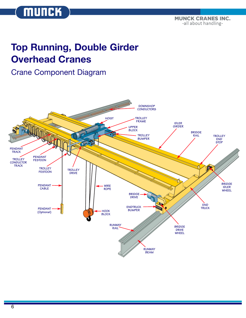-all about handling-

## **Top Running, Double Girder Overhead Cranes**

## Crane Component Diagram

**MUNCK** 



**TOTAL CRANE SYSTEMS**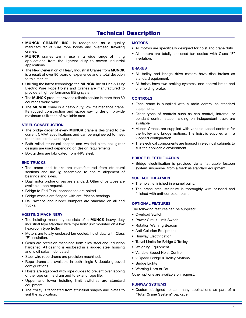### **Technical Description**

- **MUNCK CRANES INC.** is recognized as a quality manufacturer of wire rope hoists and overhead traveling cranes.
- **MUNCK** cranes are in use in a wide range of lifting applications from the lightest duty to severe industrial applications.
- The New Generation of Heavy Industrial Cranes from **MUNCK** is a result of over 80 years of experience and a total devotion to this market.
- Utilizing the latest technology, the **MUNCK** line of Heavy Duty Electric Wire Rope Hoists and Cranes are manufactured to provide a high performance lifting system.
- The **MUNCK** product provides reliable service in more than 60 countries world wide.
- The **MUNCK** crane is a heavy duty, low maintenance crane. Its rugged construction and space saving design provide maximum utilization of available area.

#### **STEEL CONSTRUCTION**

- The bridge girder of every **MUNCK** crane is designed to the current CMAA specifications and can be engineered to meet other local codes and regulations.
- Both rolled structural shapes and welded plate box girder designs are used depending on design requirements.
- Box girders are fabricated from 44W steel.

#### **END TRUCKS**

- The crane end trucks are manufactured from structural sections and are jig assembled to ensure alignment of bearings and axles.
- Dual motor bridge drives are standard. Other drive types are available upon request.
- Bridge to End Truck connections are bolted.
- Bridge wheels are flanged with anti-friction bearings.
- Rail sweeps and rubber bumpers are standard on all end trucks.

#### **HOISTING MACHINERY**

- The hoisting machinery consists of a **MUNCK** heavy duty industrial type standard wire rope hoist unit mounted on a low headroom type trolley.
- Motors are totally enclosed fan cooled, hoist duty with Class "F" insulation.
- Gears are precision machined from alloy steel and induction hardened. All gearing is enclosed in a rugged steel housing and is oil splash lubricated.
- Steel wire rope drums are precision machined.
- Rope drums are available in both single & double grooved configurations.
- Hoists are equipped with rope guides to prevent over lapping of the rope on the drum and to extend rope life.
- Upper and lower hoisting limit switches are standard equipment.
- The trolley is fabricated from structural shapes and plates to suit the application.

#### **MOTORS**

- All motors are specifically designed for hoist and crane duty.
- All motors are totally enclosed fan cooled with Class "F" insulation.

#### **BRAKES**

- All trolley and bridge drive motors have disc brakes as standard equipment.
- All hoists have two braking systems, one control brake and one holding brake.

#### **CONTROLS**

- Each crane is supplied with a radio control as standard equipment.
- Other types of controls such as cab control, infrared, or pendant control station sliding on independant track are available.
- Munck Cranes are supplied with variable speed controls for the trolley and bridge motions. The hoist is supplied with a 2-speed configuration.
- The electrical components are housed in electrical cabinets to suit the applicable environment.

#### **BRIDGE ELECTRIFICATION**

• Bridge electrification is provided via a flat cable festoon system suspended from a track as standard equipment.

#### **SURFACE TREATMENT**

- The hoist is finished in enamel paint.
- The crane steel structure is thoroughly wire brushed and finished with anti-corrosion paint.

#### **OPTIONAL FEATURES**

The following features can be supplied:

- Overload Switch
- Power Circuit Limit Switch
- Rotation Warning Beacon
- Anti-Collision Equipment
- Runway Electrification
- Travel Limits for Bridge & Trolley
- Weighing Equipment
- Variable Speed Hoist Control
- 2 Speed Bridge & Trolley Motions
- Bridge Lights
- Warning Horn or Bell

Other options are available on request.

#### **RUNWAY SYSTEMS**

• Custom designed to suit many applications as part of a **"Total Crane System"** package.